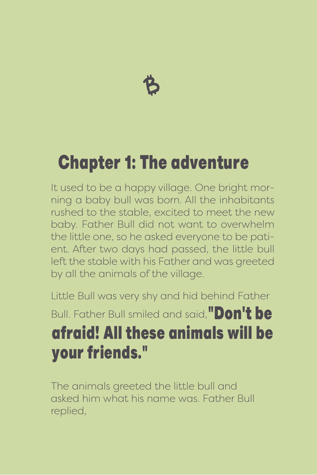# Chapter 1: The adventure

It used to be a happy village. One bright morning a baby bull was born. All the inhabitants rushed to the stable, excited to meet the new baby. Father Bull did not want to overwhelm the little one, so he asked everyone to be patient. After two days had passed, the little bull left the stable with his Father and was greeted by all the animals of the village.

Little Bull was very shy and hid behind Father Bull. Father Bull smiled and said, "Don't be afraid! All these animals will be your friends."

The animals greeted the little bull and asked him what his name was. Father Bull replied,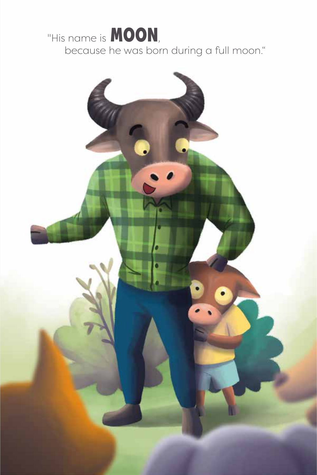#### "His name is  $\mathsf{M}\mathsf{U}\mathsf{U}\mathsf{N},$  because he was born during a full moon." MOON

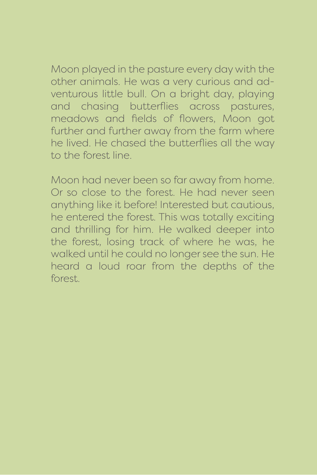Moon played in the pasture every day with the other animals. He was a very curious and adventurous little bull. On a bright day, playing and chasing butterflies across pastures, meadows and fields of flowers, Moon got further and further away from the farm where he lived. He chased the butterflies all the way to the forest line.

Moon had never been so far away from home. Or so close to the forest. He had never seen anything like it before! Interested but cautious, he entered the forest. This was totally exciting and thrilling for him. He walked deeper into the forest, losing track of where he was, he walked until he could no longer see the sun. He heard a loud roar from the depths of the forest.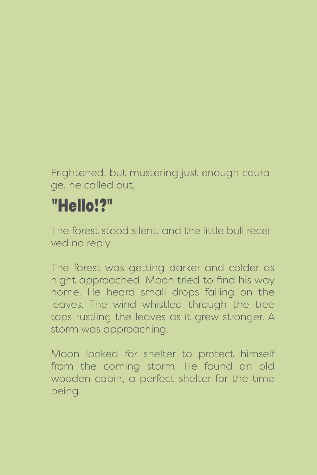Frightened, but mustering just enough courage, he called out,

# "Hello!?"

The forest stood silent, and the little bull received no reply.

The forest was getting darker and colder as night approached. Moon tried to find his way home. He heard small drops falling on the leaves. The wind whistled through the tree tops rustling the leaves as it grew stronger. A storm was approaching.

Moon looked for shelter to protect himself from the coming storm. He found an old wooden cabin, a perfect shelter for the time being.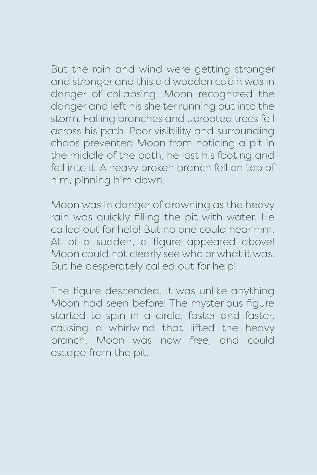But the rain and wind were getting stronger and stronger and this old wooden cabin was in danger of collapsing. Moon recognized the danger and left his shelter running out into the storm. Falling branches and uprooted trees fell across his path. Poor visibility and surrounding chaos prevented Moon from noticing a pit in the middle of the path, he lost his footing and fell into it. A heavy broken branch fell on top of him, pinning him down.

Moon was in danger of drowning as the heavy rain was quickly filling the pit with water. He called out for help! But no one could hear him. All of a sudden, a figure appeared above! Moon could not clearly see who or what it was. But he desperately called out for help!

The figure descended. It was unlike anything Moon had seen before! The mysterious figure started to spin in a circle, faster and faster, causing a whirlwind that lifted the heavy branch. Moon was now free, and could escape from the pit.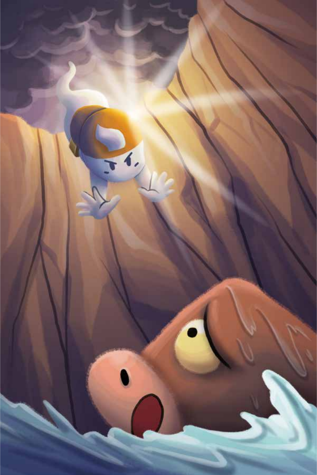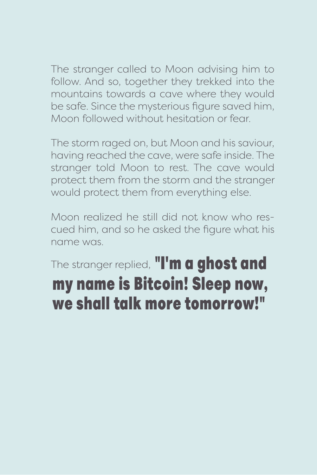The stranger called to Moon advising him to follow. And so, together they trekked into the mountains towards a cave where they would be safe. Since the mysterious figure saved him, Moon followed without hesitation or fear.

The storm raged on, but Moon and his saviour, having reached the cave, were safe inside. The stranger told Moon to rest. The cave would protect them from the storm and the stranger would protect them from everything else.

Moon realized he still did not know who rescued him, and so he asked the figure what his name was.

### The stranger replied, "I'm a ghost and my name is Bitcoin! Sleep now, we shall talk more tomorrow!"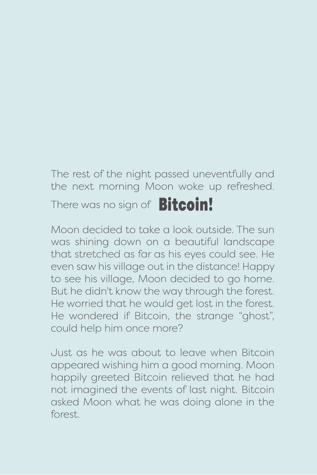The rest of the night passed uneventfully and the next morning Moon woke up refreshed.

There was no sign of **Bitcoin!** 

Moon decided to take a look outside. The sun was shining down on a beautiful landscape that stretched as far as his eyes could see. He even saw his village out in the distance! Happy to see his village, Moon decided to go home. But he didn't know the way through the forest. He worried that he would get lost in the forest. He wondered if Bitcoin, the strange "ghost", could help him once more?

Just as he was about to leave when Bitcoin appeared wishing him a good morning. Moon happily greeted Bitcoin relieved that he had not imagined the events of last night. Bitcoin asked Moon what he was doing alone in the forest.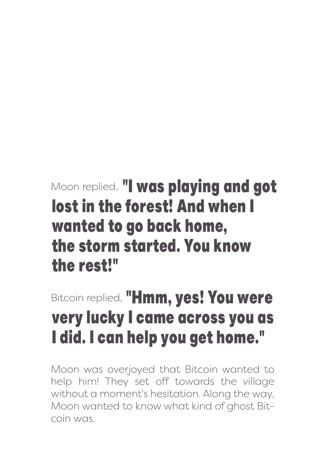#### Moon replied, "I was playing and got lost in the forest! And when I wanted to go back home, the storm started. You know the rest!"

### Bitcoin replied, "Hmm, yes! You were very lucky I came across you as I did. I can help you get home."

Moon was overjoyed that Bitcoin wanted to help him! They set off towards the village without a moment's hesitation. Along the way, Moon wanted to know what kind of ghost Bitcoin was.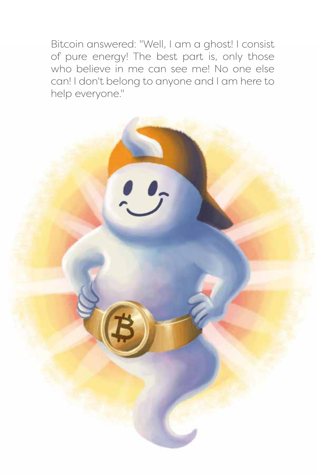Bitcoin answered: "Well, I am a ghost! I consist of pure energy! The best part is, only those who believe in me can see me! No one else can! I don't belong to anyone and I am here to help everyone."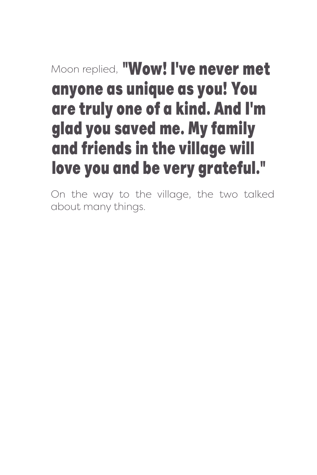### Moon replied, "Wow! I've never met anyone as unique as you! You are truly one of a kind. And I'm glad you saved me. My family and friends in the village will love you and be very grateful."

On the way to the village, the two talked about many things.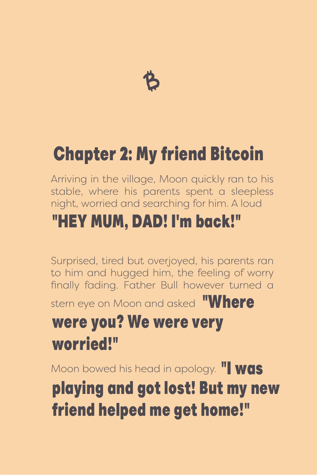

# Chapter 2: My friend Bitcoin

Arriving in the village, Moon quickly ran to his stable, where his parents spent a sleepless night, worried and searching for him. A loud

# "HEY MUM, DAD! I'm back!"

Surprised, tired but overjoyed, his parents ran to him and hugged him, the feeling of worry finally fading. Father Bull however turned a

stern eye on Moon and asked "**Where** 

#### were you? We were very worried!"

Moon bowed his head in apology.  $\blacksquare\blacksquare$  WAS playing and got lost! But my new friend helped me get home!"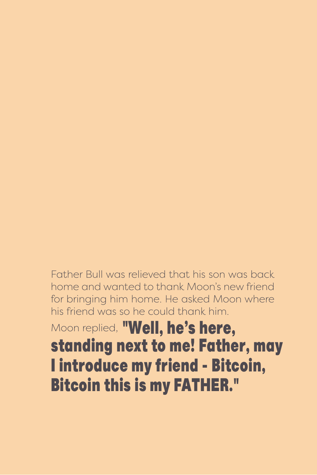Father Bull was relieved that his son was back home and wanted to thank Moon's new friend for bringing him home. He asked Moon where his friend was so he could thank him.

Moon replied, "Well, he's here, standing next to me! Father, may I introduce my friend - Bitcoin, Bitcoin this is my FATHER."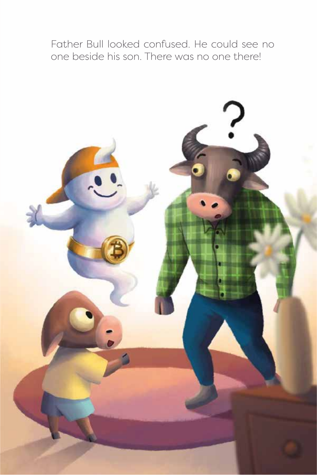Father Bull looked confused. He could see no one beside his son. There was no one there!

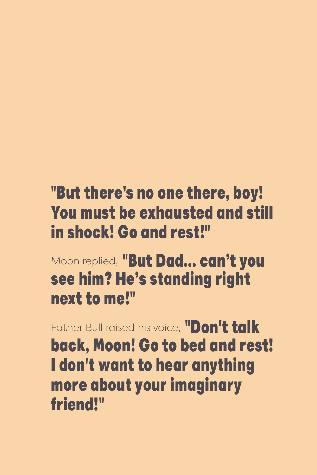#### "But there's no one there, boy! You must be exhausted and still in shock! Go and rest!"

Moon replied, "But Dad... can't you see him? He's standing right next to me!"

Father Bull raised his voice, "Don't talk back, Moon! Go to bed and rest! I don't want to hear anything more about your imaginary friend!"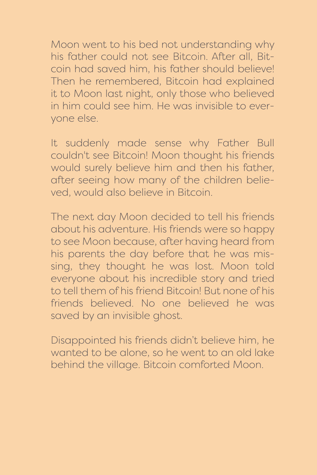Moon went to his bed not understanding why his father could not see Bitcoin. After all, Bitcoin had saved him, his father should believe! Then he remembered, Bitcoin had explained it to Moon last night, only those who believed in him could see him. He was invisible to everyone else.

It suddenly made sense why Father Bull couldn't see Bitcoin! Moon thought his friends would surely believe him and then his father, after seeing how many of the children believed, would also believe in Bitcoin.

The next day Moon decided to tell his friends about his adventure. His friends were so happy to see Moon because, after having heard from his parents the day before that he was missing, they thought he was lost. Moon told everyone about his incredible story and tried to tell them of his friend Bitcoin! But none of his friends believed. No one believed he was saved by an invisible ghost.

Disappointed his friends didn't believe him, he wanted to be alone, so he went to an old lake behind the village. Bitcoin comforted Moon.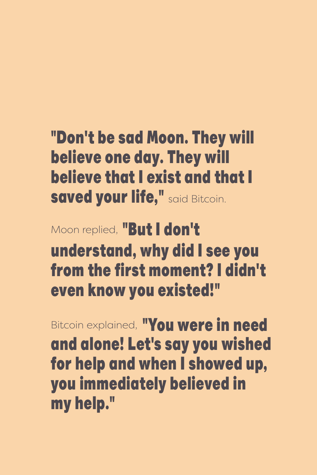#### Saved your life," said Bitcoin. "Don't be sad Moon. They will believe one day. They will believe that I exist and that I

Moon replied, **"But I don't** understand, why did I see you from the first moment? I didn't even know you existed!"

Bitcoin explained, "You were in need and alone! Let's say you wished for help and when I showed up, you immediately believed in my help."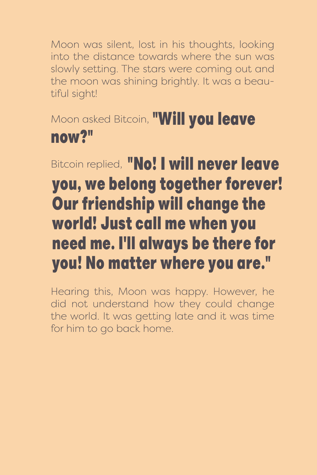Moon was silent, lost in his thoughts, looking into the distance towards where the sun was slowly setting. The stars were coming out and the moon was shining brightly. It was a beautiful sight!

#### Moon asked Bitcoin, "Will you leave now?"

Bitcoin replied, "No! I will never leave you, we belong together forever! Our friendship will change the world! Just call me when you need me. I'll always be there for you! No matter where you are."

Hearing this, Moon was happy. However, he did not understand how they could change the world. It was getting late and it was time for him to go back home.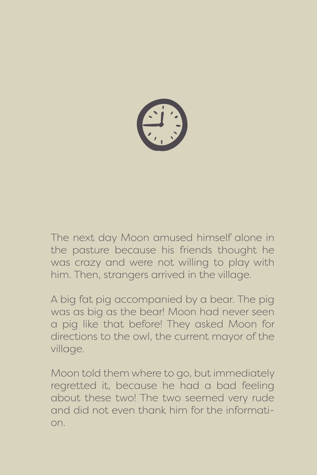

The next day Moon amused himself alone in the pasture because his friends thought he was crazy and were not willing to play with him. Then, strangers arrived in the village.

A big fat pig accompanied by a bear. The pig was as big as the bear! Moon had never seen a pig like that before! They asked Moon for directions to the owl, the current mayor of the village.

Moon told them where to go, but immediately regretted it, because he had a bad feeling about these two! The two seemed very rude and did not even thank him for the information.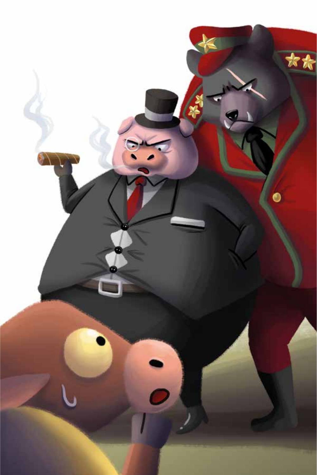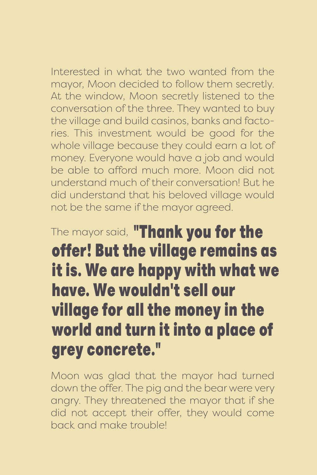#### Interested in what the two wanted from the mayor, Moon decided to follow them secretly. At the window, Moon secretly listened to the

conversation of the three. They wanted to buy the village and build casinos, banks and factories. This investment would be good for the whole village because they could earn a lot of money. Everyone would have a job and would be able to afford much more. Moon did not understand much of their conversation! But he did understand that his beloved village would not be the same if the mayor agreed.

#### The mayor said, "Thank you for the offer! But the village remains as it is. We are happy with what we have. We wouldn't sell our village for all the money in the world and turn it into a place of grey concrete."

Moon was glad that the mayor had turned down the offer. The pig and the bear were very angry. They threatened the mayor that if she did not accept their offer, they would come back and make trouble!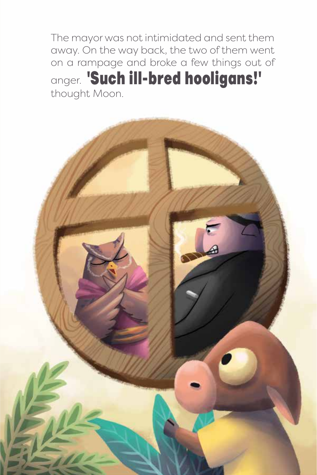The mayor was not intimidated and sent them away. On the way back, the two of them went on a rampage and broke a few things out of anger. 'Such ill-bred hooligans!'thought Moon.

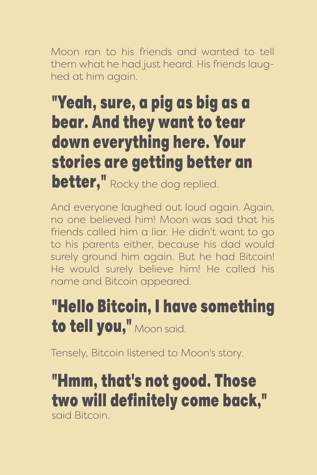Moon ran to his friends and wanted to tell them what he had just heard. His friends laughed at him again.

### "Yeah, sure, a pig as big as a bear. And they want to tear down everything here. Your stories are getting better an better," Rocky the dog replied.

And everyone laughed out loud again. Again, no one believed him! Moon was sad that his friends called him a liar. He didn't want to go to his parents either, because his dad would surely ground him again. But he had Bitcoin! He would surely believe him! He called his name and Bitcoin appeared.

## to tell you," Moon said. "Hello Bitcoin, I have something

Tensely, Bitcoin listened to Moon's story.

#### "Hmm, that's not good. Those two will definitely come back," said Bitcoin.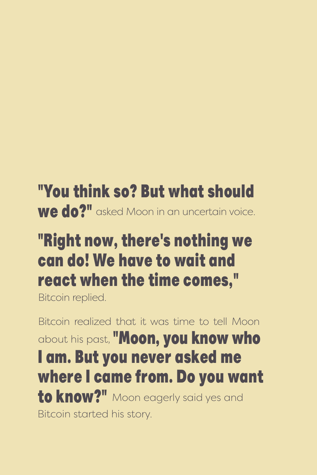#### We do?" asked Moon in an uncertain voice. "You think so? But what should

# "Right now, there's nothing we can do! We have to wait and react when the time comes,"

Bitcoin replied.

Bitcoin started his story. about his past, "Moon, you know who **to know?"** Moon eagerly said yes and Bitcoin realized that it was time to tell Moon I am. But you never asked me where I came from. Do you want Bitcoin started his story.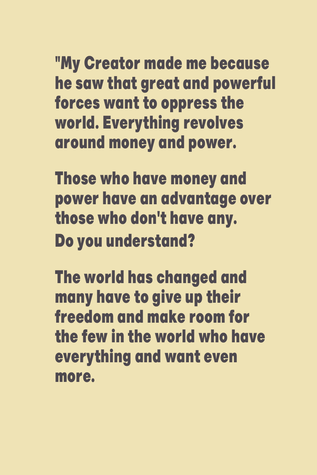"My Creator made me because he saw that great and powerful forces want to oppress the world. Everything revolves around money and power.

Those who have money and power have an advantage over those who don't have any. Do you understand?

The world has changed and many have to give up their freedom and make room for the few in the world who have everything and want even more.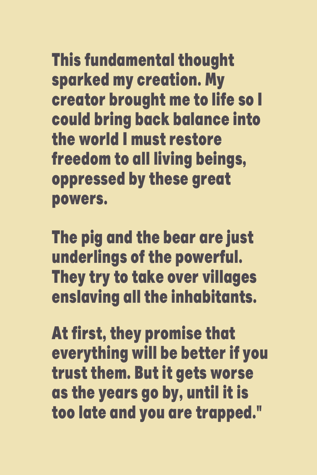This fundamental thought sparked my creation. My creator brought me to life so I could bring back balance into the world I must restore freedom to all living beings, oppressed by these great powers.

The pig and the bear are just underlings of the powerful. They try to take over villages enslaving all the inhabitants.

At first, they promise that everything will be better if you trust them. But it gets worse as the years go by, until it is too late and you are trapped."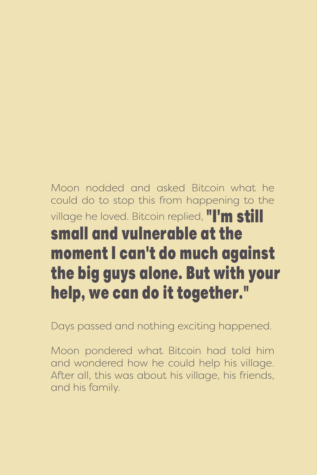#### Moon nodded and asked Bitcoin what he could do to stop this from happening to the village he loved. Bitcoin replied,  $" \| \bullet \$ small and vulnerable at the moment I can't do much against the big guys alone. But with your help, we can do it together."

Days passed and nothing exciting happened.

Moon pondered what Bitcoin had told him and wondered how he could help his village. After all, this was about his village, his friends, and his family.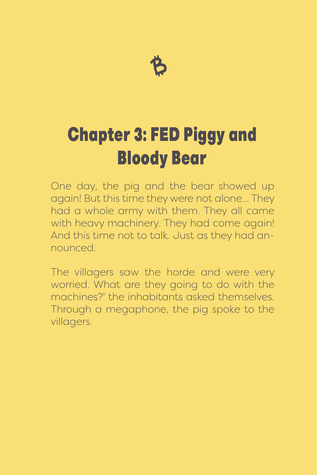

# Chapter 3: FED Piggy and Bloody Bear

One day, the pig and the bear showed up again! But this time they were not alone... They had a whole army with them. They all came with heavy machinery. They had come again! And this time not to talk. Just as they had announced.

The villagers saw the horde and were very worried. What are they going to do with the machines?' the inhabitants asked themselves. Through a megaphone, the pig spoke to the villagers.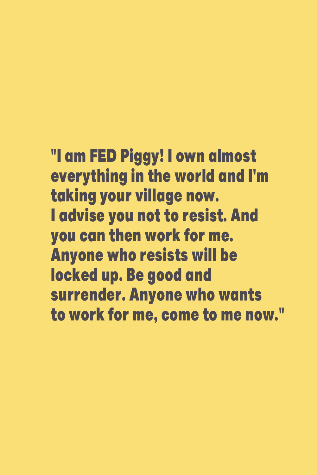"I am FED Piggy! I own almost everything in the world and I'm taking your village now. I advise you not to resist. And you can then work for me. Anyone who resists will be locked up. Be good and surrender. Anyone who wants to work for me, come to me now."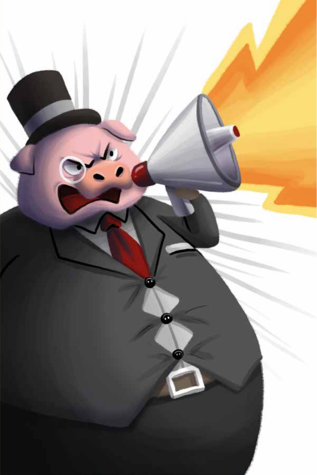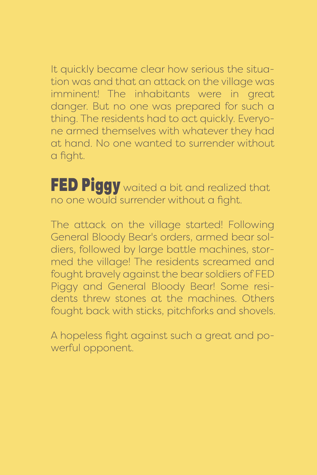It quickly became clear how serious the situation was and that an attack on the village was imminent! The inhabitants were in great danger. But no one was prepared for such a thing. The residents had to act quickly. Everyone armed themselves with whatever they had at hand. No one wanted to surrender without a fight.

FED Piggy waited a bit and realized that no one would surrender without a fight.

The attack on the village started! Following General Bloody Bear's orders, armed bear soldiers, followed by large battle machines, stormed the village! The residents screamed and fought bravely against the bear soldiers of FED Piggy and General Bloody Bear! Some residents threw stones at the machines. Others fought back with sticks, pitchforks and shovels.

A hopeless fight against such a great and powerful opponent.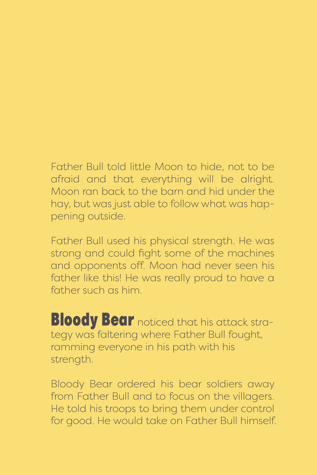Father Bull told little Moon to hide, not to be afraid and that everything will be alright. Moon ran back to the barn and hid under the hay, but was just able to follow what was happening outside.

Father Bull used his physical strength. He was strong and could fight some of the machines and opponents off. Moon had never seen his father like this! He was really proud to have a father such as him.

**Bloody Bear** noticed that his attack strategy was faltering where Father Bull fought, ramming everyone in his path with his strength.

Bloody Bear ordered his bear soldiers away from Father Bull and to focus on the villagers. He told his troops to bring them under control for good. He would take on Father Bull himself.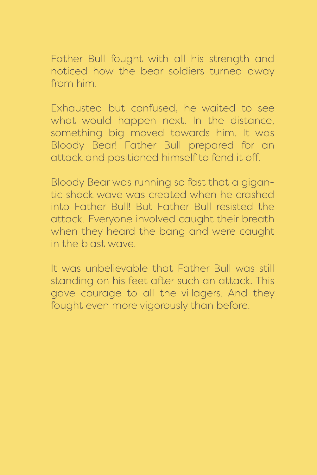Father Bull fought with all his strength and noticed how the bear soldiers turned away from him.

Exhausted but confused, he waited to see what would happen next. In the distance, something big moved towards him. It was Bloody Bear! Father Bull prepared for an attack and positioned himself to fend it off.

Bloody Bear was running so fast that a gigantic shock wave was created when he crashed into Father Bull! But Father Bull resisted the attack. Everyone involved caught their breath when they heard the bang and were caught in the blast wave.

It was unbelievable that Father Bull was still standing on his feet after such an attack. This gave courage to all the villagers. And they fought even more vigorously than before.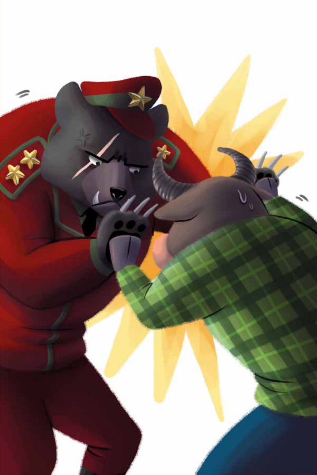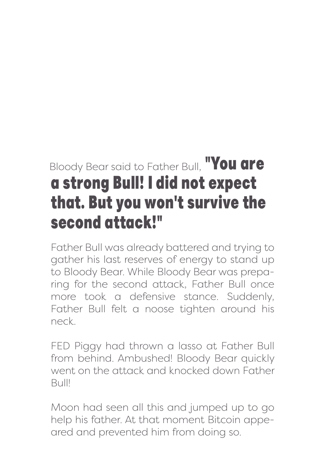#### Bloody Bear said to Father Bull, "You are a strong Bull! I did not expect that. But you won't survive the second attack!"

Father Bull was already battered and trying to gather his last reserves of energy to stand up to Bloody Bear. While Bloody Bear was preparing for the second attack, Father Bull once more took a defensive stance. Suddenly, Father Bull felt a noose tighten around his neck.

FED Piggy had thrown a lasso at Father Bull from behind. Ambushed! Bloody Bear quickly went on the attack and knocked down Father Bull!

Moon had seen all this and jumped up to go help his father. At that moment Bitcoin appeared and prevented him from doing so.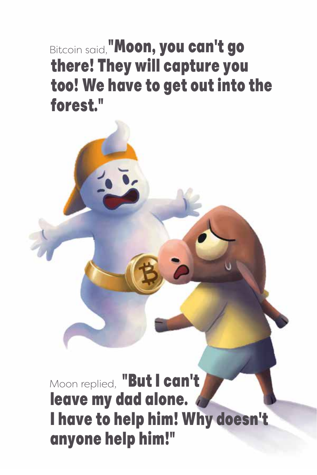#### Bitcoin said, "Moon, you can't go there! They will capture you too! We have to get out into the forest."

Moon replied, "But I can't leave my dad alone. I have to help him! Why doesn't anyone help him!"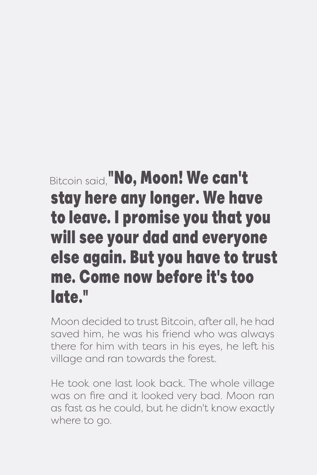### Bitcoin said, "No, Moon! We can't stay here any longer. We have to leave. I promise you that you will see your dad and everyone else again. But you have to trust me. Come now before it's too late."

Moon decided to trust Bitcoin, after all, he had saved him, he was his friend who was always there for him with tears in his eyes, he left his village and ran towards the forest.

He took one last look back. The whole village was on fire and it looked very bad. Moon ran as fast as he could, but he didn't know exactly where to go.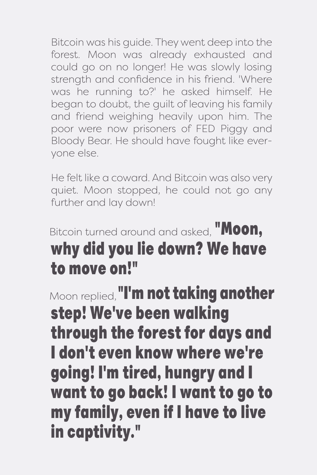Bitcoin was his guide. They went deep into the forest. Moon was already exhausted and could go on no longer! He was slowly losing strength and confidence in his friend. 'Where was he running to?' he asked himself. He began to doubt, the guilt of leaving his family and friend weighing heavily upon him. The poor were now prisoners of FED Piggy and Bloody Bear. He should have fought like everyone else.

He felt like a coward. And Bitcoin was also very quiet. Moon stopped, he could not go any further and lay down!

#### Bitcoin turned around and asked, "Moon, why did you lie down? We have to move on!"

Moon replied, "I'm not taking another step! We've been walking through the forest for days and I don't even know where we're going! I'm tired, hungry and I want to go back! I want to go to my family, even if I have to live in captivity."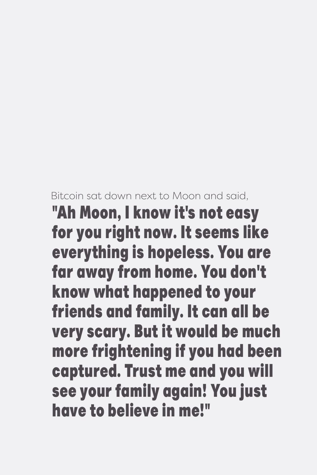Bitcoin sat down next to Moon and said, "Ah Moon, I know it's not easy for you right now. It seems like everything is hopeless. You are far away from home. You don't know what happened to your friends and family. It can all be very scary. But it would be much more frightening if you had been captured. Trust me and you will see your family again! You just have to believe in me!"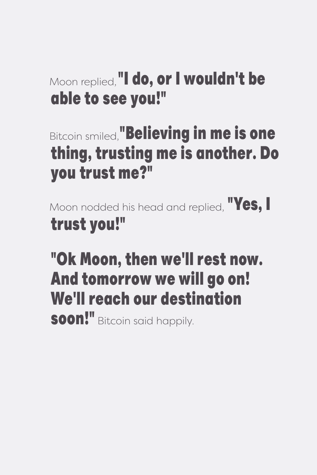## Moon replied, "I do, or I wouldn't be able to see you!"

## Bitcoin smiled, "Believing in me is one thing, trusting me is another. Do you trust me?"

Moon nodded his head and replied, **"Yes,** I trust you!"

## "Ok Moon, then we'll rest now. And tomorrow we will go on! We'll reach our destination

**soon!"** Bitcoin said happily.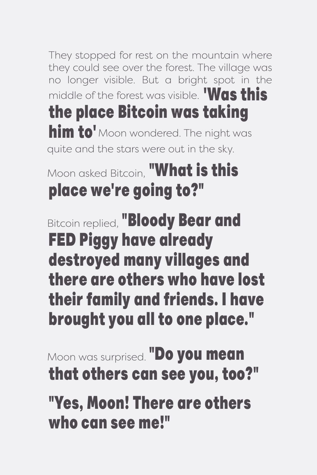They stopped for rest on the mountain where they could see over the forest. The village was no longer visible. But a bright spot in the middle of the forest was visible.  $\mathbf{W}\mathbf{as}\ \mathbf{this}$ him to' Moon wondered. The night was the place Bitcoin was taking quite and the stars were out in the sky.

Moon asked Bitcoin, "What is this place we're going to?"

Bitcoin replied, "Bloody Bear and FED Piggy have already destroyed many villages and there are others who have lost their family and friends. I have brought you all to one place."

Moon was surprised. "Do you mean that others can see you, too?"

"Yes, Moon! There are others who can see me!"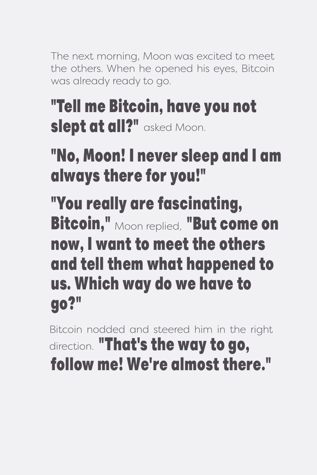The next morning, Moon was excited to meet the others. When he opened his eyes, Bitcoin was already ready to go.

# Slept at all?" asked Moon. "Tell me Bitcoin, have you not

## "No, Moon! I never sleep and I am always there for you!"

## Bitcoin," Moon replied, "But come on "You really are fascinating, now, I want to meet the others and tell them what happened to us. Which way do we have to go?"

Bitcoin nodded and steered him in the right direction. **"That's the way to go,** follow me! We're almost there."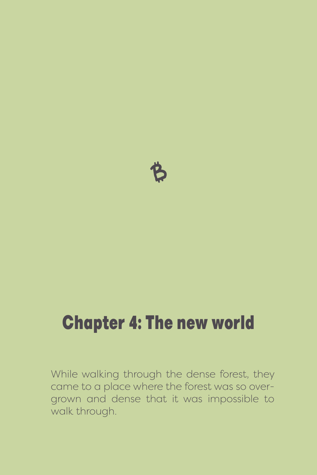

## Chapter 4: The new world

While walking through the dense forest, they came to a place where the forest was so overgrown and dense that it was impossible to walk through.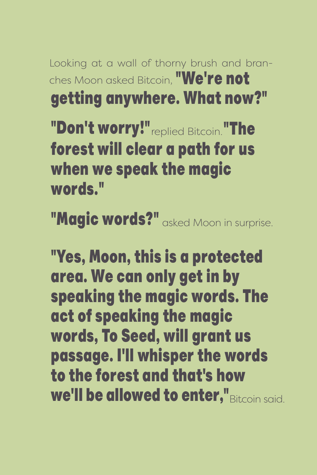Looking at a wall of thorny brush and branches Moon asked Bitcoin, "**We're not** getting anywhere. What now?"

"Don't worry!" replied Bitcoin. "The forest will clear a path for us when we speak the magic words."

"Magic words?" asked Moon in surprise.

we'll be allowed to enter," $_{\mathsf{Bitcoin} \, \mathsf{said.}}$ "Yes, Moon, this is a protected area. We can only get in by speaking the magic words. The act of speaking the magic words, To Seed, will grant us passage. I'll whisper the words to the forest and that's how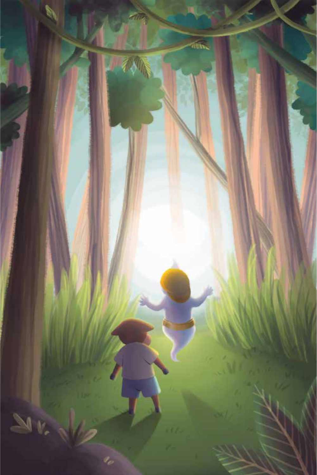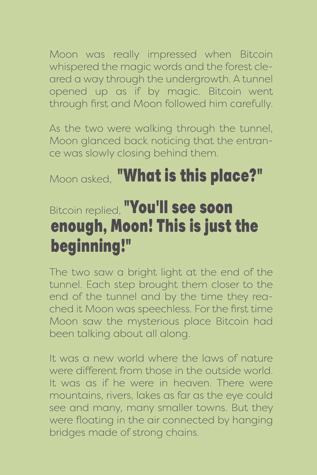Moon was really impressed when Bitcoin whispered the magic words and the forest cleared a way through the undergrowth. A tunnel opened up as if by magic. Bitcoin went through first and Moon followed him carefully.

As the two were walking through the tunnel, Moon glanced back noticing that the entrance was slowly closing behind them.

# Moon asked, "What is this place?"

### enough, Moon! This is just the beginning!" Bitcoin replied, "You'll see soon

The two saw a bright light at the end of the tunnel. Each step brought them closer to the end of the tunnel and by the time they reached it Moon was speechless. For the first time Moon saw the mysterious place Bitcoin had been talking about all along.

It was a new world where the laws of nature were different from those in the outside world. It was as if he were in heaven. There were mountains, rivers, lakes as far as the eye could see and many, many smaller towns. But they were floating in the air connected by hanging bridges made of strong chains.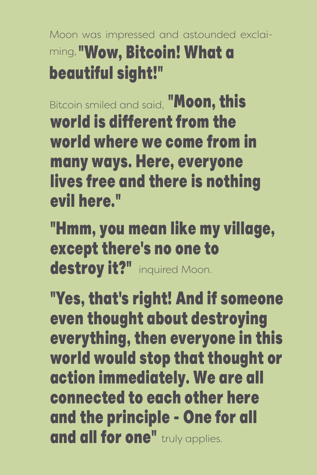Moon was impressed and astounded exclaiming, "Wow, Bitcoin! What a beautiful sight!"

world is different from the world where we come from in many ways. Here, everyone lives free and there is nothing evil here." Bitcoin smiled and said, **"Moon, this** 

"Hmm, you mean like my village, except there's no one to destroy it?" inquired Moon.

"Yes, that's right! And if someone even thought about destroying everything, then everyone in this world would stop that thought or action immediately. We are all connected to each other here and the principle - One for all and all for one" truly applies.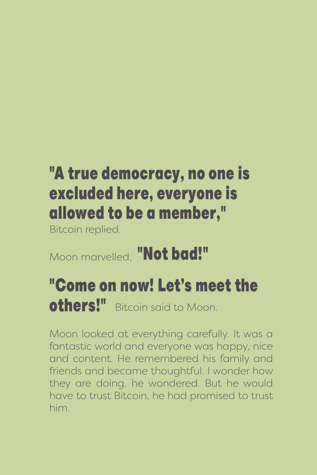## "A true democracy, no one is excluded here, everyone is allowed to be a member,"

Bitcoin replied.

## Moon marvelled, "Not bad!"

#### "Come on now! Let's meet the others!" Bitcoin said to Moon.

Moon looked at everything carefully. It was a fantastic world and everyone was happy, nice and content. He remembered his family and friends and became thoughtful. I wonder how they are doing, he wondered. But he would have to trust Bitcoin, he had promised to trust him.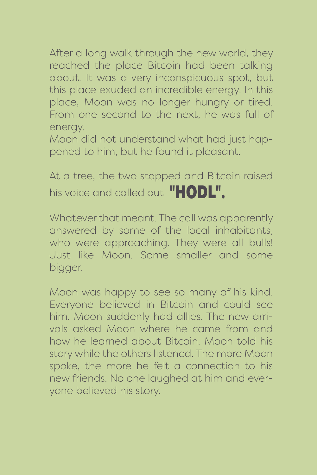After a long walk through the new world, they reached the place Bitcoin had been talking about. It was a very inconspicuous spot, but this place exuded an incredible energy. In this place, Moon was no longer hungry or tired. From one second to the next, he was full of energy.

Moon did not understand what had just happened to him, but he found it pleasant.

At a tree, the two stopped and Bitcoin raised his voice and called out "HODL".

Whatever that meant. The call was apparently answered by some of the local inhabitants, who were approaching. They were all bulls! Just like Moon. Some smaller and some bigger.

Moon was happy to see so many of his kind. Everyone believed in Bitcoin and could see him. Moon suddenly had allies. The new arrivals asked Moon where he came from and how he learned about Bitcoin. Moon told his story while the others listened. The more Moon spoke, the more he felt a connection to his new friends. No one laughed at him and everyone believed his story.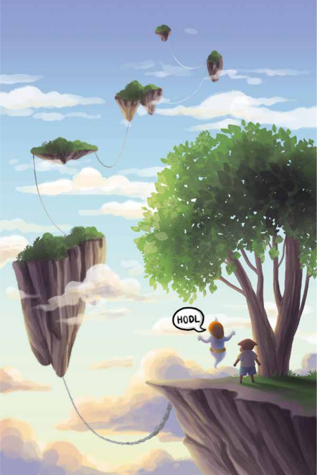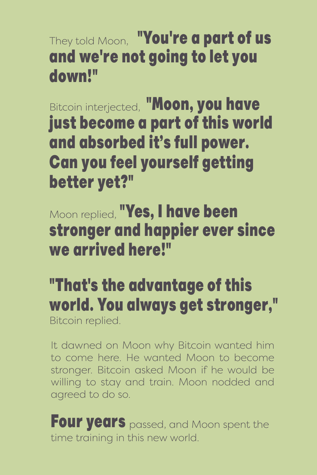#### and we're not going to let you down!" They told Moon, "You're a part of us

just become a part of this world and absorbed it's full power. Can you feel yourself getting better yet?" Bitcoin interjected, **"Moon, you have** 

stronger and happier ever since we arrived here!" Moon replied, "Yes, I have been

#### "That's the advantage of this world. You always get stronger," Bitcoin replied.

It dawned on Moon why Bitcoin wanted him to come here. He wanted Moon to become stronger. Bitcoin asked Moon if he would be willing to stay and train. Moon nodded and agreed to do so.

time training in this new world. Four years passed, and Moon spent the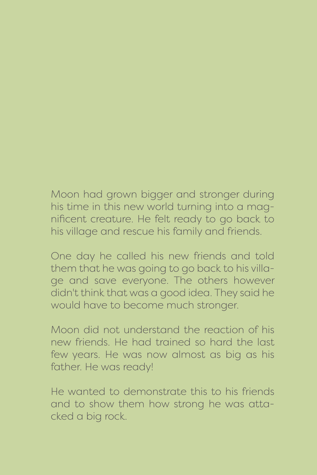Moon had grown bigger and stronger during his time in this new world turning into a magnificent creature. He felt ready to go back to his village and rescue his family and friends.

One day he called his new friends and told them that he was going to go back to his village and save everyone. The others however didn't think that was a good idea. They said he would have to become much stronger.

Moon did not understand the reaction of his new friends. He had trained so hard the last few years. He was now almost as big as his father. He was ready!

He wanted to demonstrate this to his friends and to show them how strong he was attacked a big rock.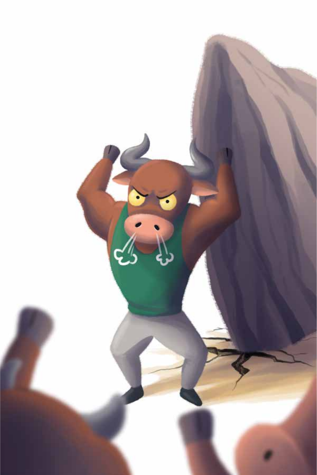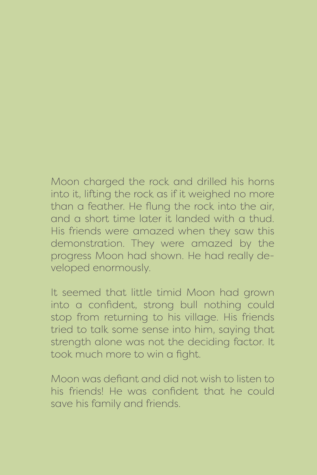Moon charged the rock and drilled his horns into it, lifting the rock as if it weighed no more than a feather. He flung the rock into the air, and a short time later it landed with a thud. His friends were amazed when they saw this demonstration. They were amazed by the progress Moon had shown. He had really developed enormously.

It seemed that little timid Moon had grown into a confident, strong bull nothing could stop from returning to his village. His friends tried to talk some sense into him, saying that strength alone was not the deciding factor. It took much more to win a fight.

Moon was defiant and did not wish to listen to his friends! He was confident that he could save his family and friends.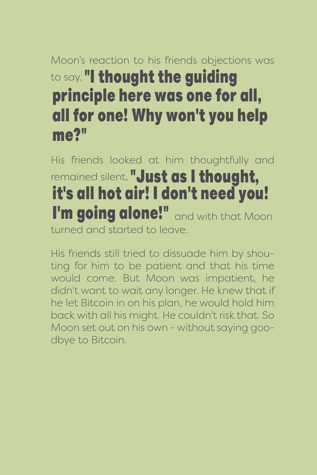#### Moon's reaction to his friends objections was to say, "I thought the guiding principle here was one for all, all for one! Why won't you help me?"

His friends looked at him thoughtfully and remained silent, "Just as I thought, it's all hot air! I don't need you! I'm going alone!" and with that Moon turned and started to leave.

His friends still tried to dissuade him by shouting for him to be patient and that his time would come. But Moon was impatient, he didn't want to wait any longer. He knew that if he let Bitcoin in on his plan, he would hold him back with all his might. He couldn't risk that. So Moon set out on his own - without saying goodbye to Bitcoin.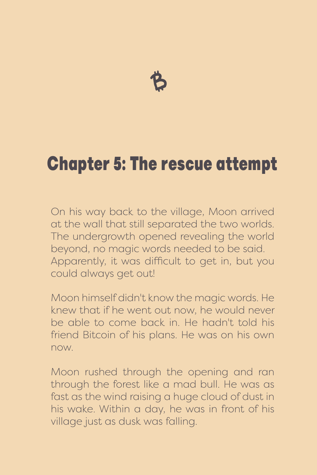

## Chapter 5: The rescue attempt

On his way back to the village, Moon arrived at the wall that still separated the two worlds. The undergrowth opened revealing the world beyond, no magic words needed to be said. Apparently, it was difficult to get in, but you could always get out!

Moon himself didn't know the magic words. He knew that if he went out now, he would never be able to come back in. He hadn't told his friend Bitcoin of his plans. He was on his own now.

Moon rushed through the opening and ran through the forest like a mad bull. He was as fast as the wind raising a huge cloud of dust in his wake. Within a day, he was in front of his village just as dusk was falling.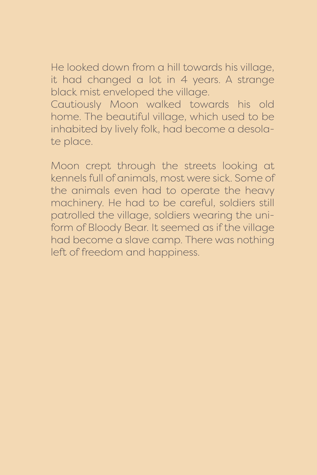He looked down from a hill towards his village, it had changed a lot in 4 years. A strange black mist enveloped the village.

Cautiously Moon walked towards his old home. The beautiful village, which used to be inhabited by lively folk, had become a desolate place.

Moon crept through the streets looking at kennels full of animals, most were sick. Some of the animals even had to operate the heavy machinery. He had to be careful, soldiers still patrolled the village, soldiers wearing the uniform of Bloody Bear. It seemed as if the village had become a slave camp. There was nothing left of freedom and happiness.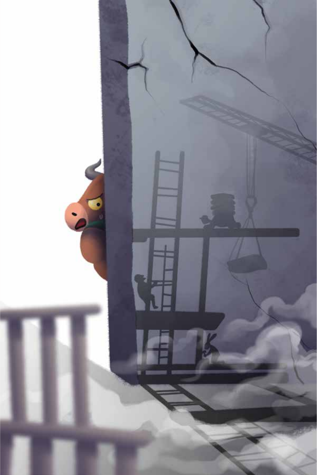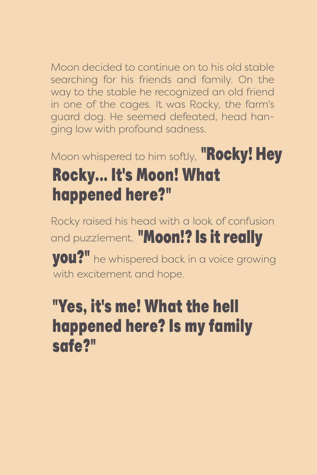Moon decided to continue on to his old stable searching for his friends and family. On the way to the stable he recognized an old friend in one of the cages. It was Rocky, the farm's guard dog. He seemed defeated, head hanging low with profound sadness.

### Rocky... It's Moon! What happened here?" Moon whispered to him softly,  $\mathbf{''Rocky: Hey}$

Rocky raised his head with a look of confusion and puzzlement. "Moon!? Is it really

 $\bm y$ 0U?" he whispered back in a voice growing with excitement and hope.

### "Yes, it's me! What the hell happened here? Is my family safe?"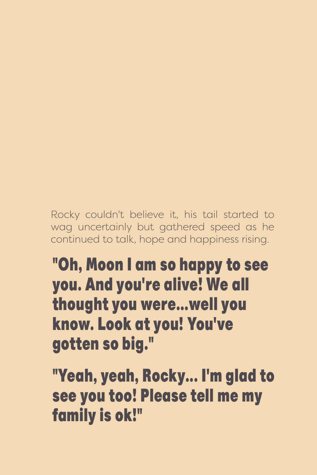Rocky couldn't believe it, his tail started to wag uncertainly but gathered speed as he continued to talk, hope and happiness rising.

"Oh, Moon I am so happy to see you. And you're alive! We all thought you were...well you know. Look at you! You've gotten so big."

"Yeah, yeah, Rocky... I'm glad to see you too! Please tell me my family is ok!"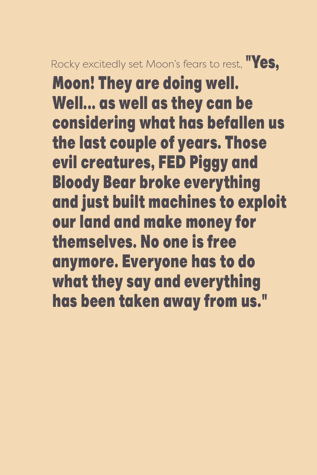Rocky excitedly set Moon's fears to rest, "YeS,

Moon! They are doing well. Well... as well as they can be considering what has befallen us the last couple of years. Those evil creatures, FED Piggy and Bloody Bear broke everything and just built machines to exploit our land and make money for themselves. No one is free anymore. Everyone has to do what they say and everything has been taken away from us."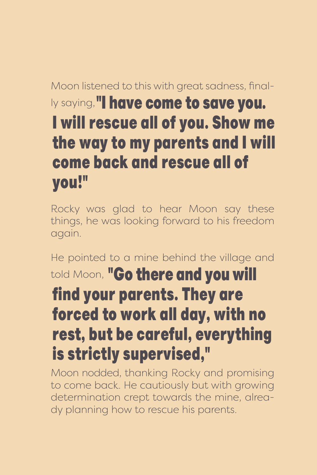Moon listened to this with great sadness, finally saying, "I have come to save you. I will rescue all of you. Show me the way to my parents and I will come back and rescue all of you!"

Rocky was glad to hear Moon say these things, he was looking forward to his freedom again.

He pointed to a mine behind the village and told Moon, "Go there and you will find your parents. They are forced to work all day, with no rest, but be careful, everything is strictly supervised,"

Moon nodded, thanking Rocky and promising to come back. He cautiously but with growing determination crept towards the mine, already planning how to rescue his parents.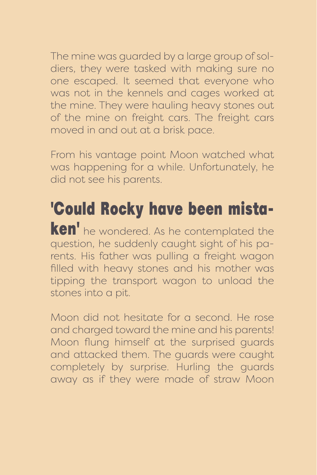The mine was guarded by a large group of soldiers, they were tasked with making sure no one escaped. It seemed that everyone who was not in the kennels and cages worked at the mine. They were hauling heavy stones out of the mine on freight cars. The freight cars moved in and out at a brisk pace.

From his vantage point Moon watched what was happening for a while. Unfortunately, he did not see his parents.

'Could Rocky have been mistaken' he wondered. As he contemplated the question, he suddenly caught sight of his parents. His father was pulling a freight wagon filled with heavy stones and his mother was tipping the transport wagon to unload the stones into a pit.

Moon did not hesitate for a second. He rose and charged toward the mine and his parents! Moon flung himself at the surprised guards and attacked them. The guards were caught completely by surprise. Hurling the guards away as if they were made of straw Moon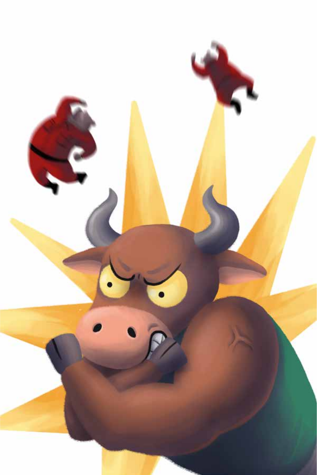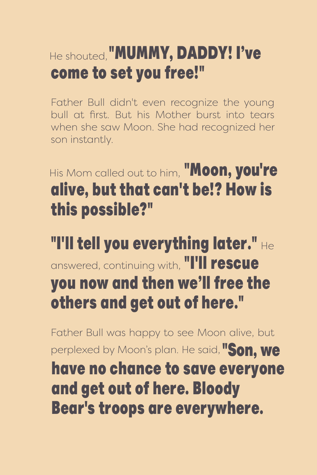## He shouted, "MUMMY, DADDY! I've come to set you free!"

Father Bull didn't even recognize the young bull at first. But his Mother burst into tears when she saw Moon. She had recognized her son instantly.

### His Mom called out to him, "Moon, you're alive, but that can't be!? How is this possible?"

## "I'll tell you everything later." He answered, continuing with, "I'll rescue you now and then we'll free the others and get out of here."

Father Bull was happy to see Moon alive, but perplexed by Moon's plan. He said, "S**on, We** have no chance to save everyone and get out of here. Bloody Bear's troops are everywhere.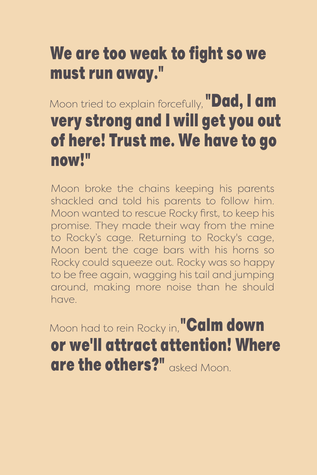## We are too weak to fight so we must run away."

#### Moon tried to explain forcefully,  $"{\color{red} {\bf D} {\color{red} \bf d} {\color{red} ,} \ {\color{green} I} \ {\color{red} \bf d} {\color{red} m} \color{black} }$ very strong and I will get you out of here! Trust me. We have to go now!"

Moon broke the chains keeping his parents shackled and told his parents to follow him. Moon wanted to rescue Rocky first, to keep his promise. They made their way from the mine to Rocky's cage. Returning to Rocky's cage, Moon bent the cage bars with his horns so Rocky could squeeze out. Rocky was so happy to be free again, wagging his tail and jumping around, making more noise than he should have.

are the others?"  $_{\mathsf{asked}\,\mathsf{Moon}}$ . Moon had to rein Rocky in, "Calm down or we'll attract attention! Where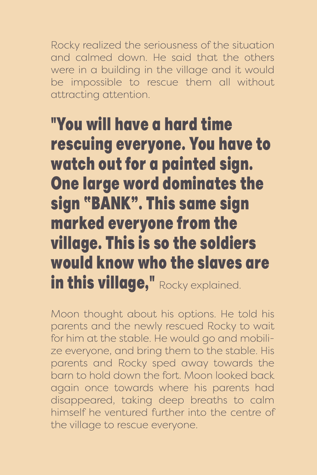Rocky realized the seriousness of the situation and calmed down. He said that the others were in a building in the village and it would be impossible to rescue them all without attracting attention.

## "You will have a hard time rescuing everyone. You have to watch out for a painted sign. One large word dominates the sign "BANK". This same sign marked everyone from the village. This is so the soldiers would know who the slaves are in this village," Rocky explained.

Moon thought about his options. He told his parents and the newly rescued Rocky to wait for him at the stable. He would go and mobilize everyone, and bring them to the stable. His parents and Rocky sped away towards the barn to hold down the fort. Moon looked back again once towards where his parents had disappeared, taking deep breaths to calm himself he ventured further into the centre of the village to rescue everyone.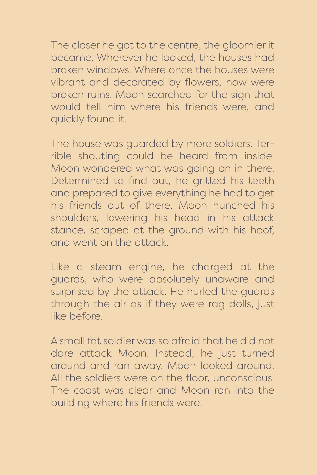The closer he got to the centre, the gloomier it became. Wherever he looked, the houses had broken windows. Where once the houses were vibrant and decorated by flowers, now were broken ruins. Moon searched for the sign that would tell him where his friends were, and quickly found it.

The house was guarded by more soldiers. Terrible shouting could be heard from inside. Moon wondered what was going on in there. Determined to find out, he gritted his teeth and prepared to give everything he had to get his friends out of there. Moon hunched his shoulders, lowering his head in his attack stance, scraped at the ground with his hoof, and went on the attack.

Like a steam engine, he charged at the guards, who were absolutely unaware and surprised by the attack. He hurled the guards through the air as if they were rag dolls, just like before.

A small fat soldier was so afraid that he did not dare attack Moon. Instead, he just turned around and ran away. Moon looked around. All the soldiers were on the floor, unconscious. The coast was clear and Moon ran into the building where his friends were.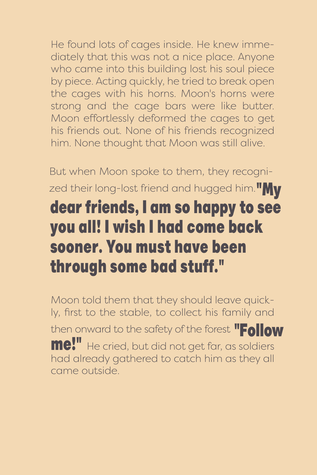He found lots of cages inside. He knew immediately that this was not a nice place. Anyone who came into this building lost his soul piece by piece. Acting quickly, he tried to break open the cages with his horns. Moon's horns were strong and the cage bars were like butter. Moon effortlessly deformed the cages to get his friends out. None of his friends recognized him. None thought that Moon was still alive.

But when Moon spoke to them, they recognized their long-lost friend and hugged him.  $^{\prime\prime}\mathsf{M}\mathsf{V}$ dear friends, I am so happy to see you all! I wish I had come back sooner. You must have been through some bad stuff."

Moon told them that they should leave quickly, first to the stable, to collect his family and then onward to the safety of the forest  $\mathsf{``Follow}$ **Me!"** He cried, but did not get far, as soldiers had already gathered to catch him as they all came outside.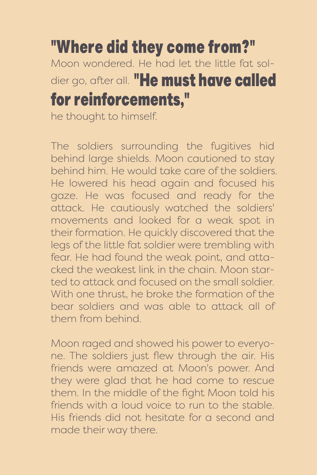#### Moon wondered. He had let the little fat soldier go, after all. "He must have called for reinforcements," "Where did they come from?"

he thought to himself.

The soldiers surrounding the fugitives hid behind large shields. Moon cautioned to stay behind him. He would take care of the soldiers. He lowered his head again and focused his gaze. He was focused and ready for the attack. He cautiously watched the soldiers' movements and looked for a weak spot in their formation. He quickly discovered that the legs of the little fat soldier were trembling with fear. He had found the weak point, and attacked the weakest link in the chain. Moon started to attack and focused on the small soldier. With one thrust, he broke the formation of the bear soldiers and was able to attack all of them from behind.

Moon raged and showed his power to everyone. The soldiers just flew through the air. His friends were amazed at Moon's power. And they were glad that he had come to rescue them. In the middle of the fight Moon told his friends with a loud voice to run to the stable. His friends did not hesitate for a second and made their way there.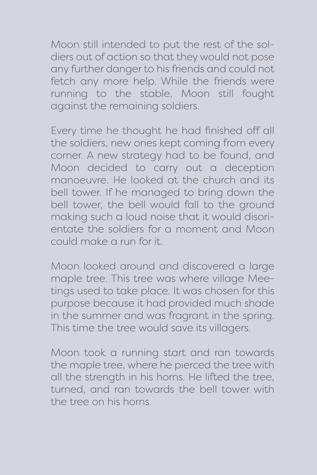Moon still intended to put the rest of the soldiers out of action so that they would not pose any further danger to his friends and could not fetch any more help. While the friends were running to the stable, Moon still fought against the remaining soldiers.

Every time he thought he had finished off all the soldiers, new ones kept coming from every corner. A new strategy had to be found, and Moon decided to carry out a deception manoeuvre. He looked at the church and its bell tower. If he managed to bring down the bell tower, the bell would fall to the ground making such a loud noise that it would disorientate the soldiers for a moment and Moon could make a run for it.

Moon looked around and discovered a large maple tree. This tree was where village Meetings used to take place. It was chosen for this purpose because it had provided much shade in the summer and was fragrant in the spring. This time the tree would save its villagers.

Moon took a running start and ran towards the maple tree, where he pierced the tree with all the strength in his horns. He lifted the tree, turned, and ran towards the bell tower with the tree on his horns.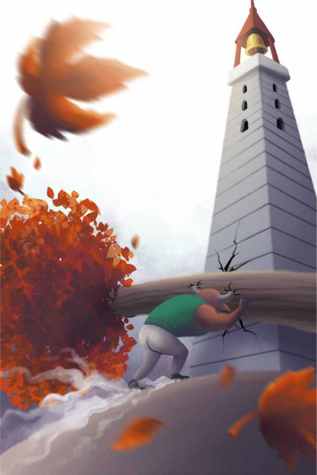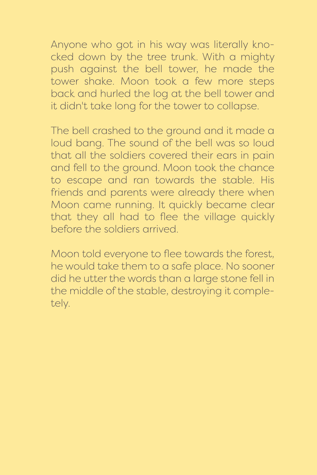Anyone who got in his way was literally knocked down by the tree trunk. With a mighty push against the bell tower, he made the tower shake. Moon took a few more steps back and hurled the log at the bell tower and it didn't take long for the tower to collapse.

The bell crashed to the ground and it made a loud bang. The sound of the bell was so loud that all the soldiers covered their ears in pain and fell to the ground. Moon took the chance to escape and ran towards the stable. His friends and parents were already there when Moon came running. It quickly became clear that they all had to flee the village quickly before the soldiers arrived.

Moon told everyone to flee towards the forest, he would take them to a safe place. No sooner did he utter the words than a large stone fell in the middle of the stable, destroying it completely.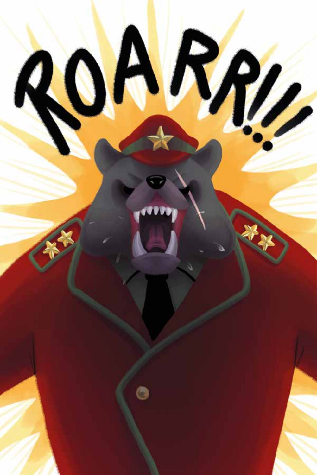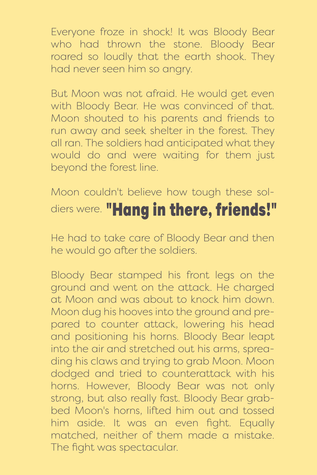Everyone froze in shock! It was Bloody Bear who had thrown the stone. Bloody Bear roared so loudly that the earth shook. They had never seen him so angry.

But Moon was not afraid. He would get even with Bloody Bear. He was convinced of that. Moon shouted to his parents and friends to run away and seek shelter in the forest. They all ran. The soldiers had anticipated what they would do and were waiting for them just beyond the forest line.

#### Moon couldn't believe how tough these soldiers were. "Hang in there, friends!"

He had to take care of Bloody Bear and then he would go after the soldiers.

Bloody Bear stamped his front legs on the ground and went on the attack. He charged at Moon and was about to knock him down. Moon dug his hooves into the ground and prepared to counter attack, lowering his head and positioning his horns. Bloody Bear leapt into the air and stretched out his arms, spreading his claws and trying to grab Moon. Moon dodged and tried to counterattack with his horns. However, Bloody Bear was not only strong, but also really fast. Bloody Bear grabbed Moon's horns, lifted him out and tossed him aside. It was an even fight. Equally matched, neither of them made a mistake. The fight was spectacular.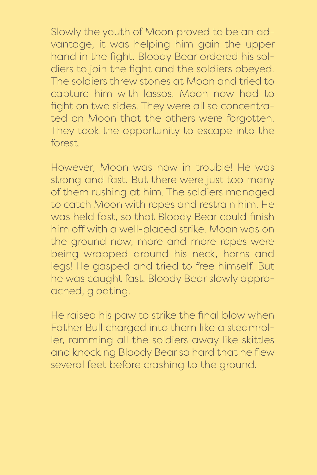Slowly the youth of Moon proved to be an advantage, it was helping him gain the upper hand in the fight. Bloody Bear ordered his soldiers to join the fight and the soldiers obeyed. The soldiers threw stones at Moon and tried to capture him with lassos. Moon now had to fight on two sides. They were all so concentrated on Moon that the others were forgotten. They took the opportunity to escape into the forest.

However, Moon was now in trouble! He was strong and fast. But there were just too many of them rushing at him. The soldiers managed to catch Moon with ropes and restrain him. He was held fast, so that Bloody Bear could finish him off with a well-placed strike. Moon was on the ground now, more and more ropes were being wrapped around his neck, horns and legs! He gasped and tried to free himself. But he was caught fast. Bloody Bear slowly approached, gloating.

He raised his paw to strike the final blow when Father Bull charged into them like a steamroller, ramming all the soldiers away like skittles and knocking Bloody Bear so hard that he flew several feet before crashing to the ground.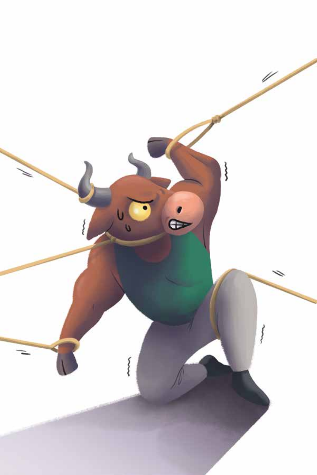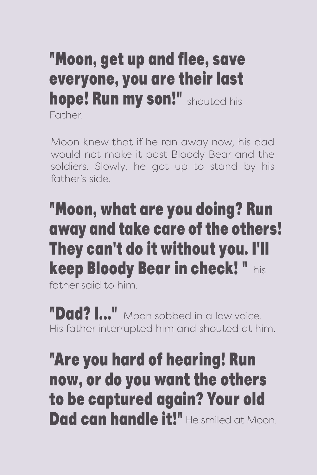# "Moon, get up and flee, save everyone, you are their last hope! Run my son!" shouted his

Father.

Moon knew that if he ran away now, his dad would not make it past Bloody Bear and the soldiers. Slowly, he got up to stand by his father's side.

#### "Moon, what are you doing? Run away and take care of the others! They can't do it without you. I'll keep Bloody Bear in check! " hisfather said to him.

"**Dad? I..."** Moon sobbed in a low voice. His father interrupted him and shouted at him.

"Are you hard of hearing! Run now, or do you want the others to be captured again? Your old **Dad can handle it!"** He smiled at Moon.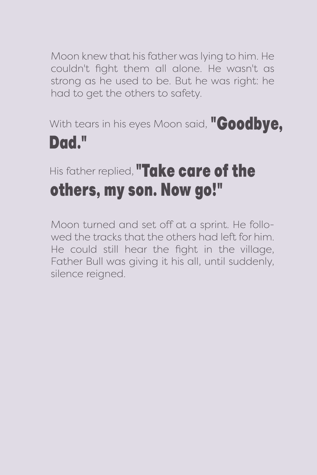Moon knew that his father was lying to him. He couldn't fight them all alone. He wasn't as strong as he used to be. But he was right: he had to get the others to safety.

Dad." With tears in his eyes Moon said, "Goodbye,

### others, my son. Now go!" His father replied, "Take care of the

Moon turned and set off at a sprint. He followed the tracks that the others had left for him. He could still hear the fight in the village, Father Bull was giving it his all, until suddenly, silence reigned.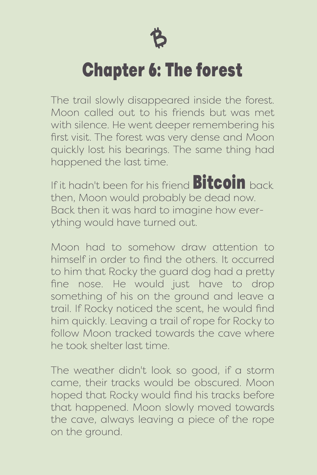

# Chapter 6: The forest

The trail slowly disappeared inside the forest. Moon called out to his friends but was met with silence. He went deeper remembering his first visit. The forest was very dense and Moon quickly lost his bearings. The same thing had happened the last time.

If it hadn't been for his friend  $\mathbf{Bitcoin}$  back then, Moon would probably be dead now. Back then it was hard to imagine how everything would have turned out.

Moon had to somehow draw attention to himself in order to find the others. It occurred to him that Rocky the guard dog had a pretty fine nose. He would just have to drop something of his on the ground and leave a trail. If Rocky noticed the scent, he would find him quickly. Leaving a trail of rope for Rocky to follow Moon tracked towards the cave where he took shelter last time.

The weather didn't look so good, if a storm came, their tracks would be obscured. Moon hoped that Rocky would find his tracks before that happened. Moon slowly moved towards the cave, always leaving a piece of the rope on the ground.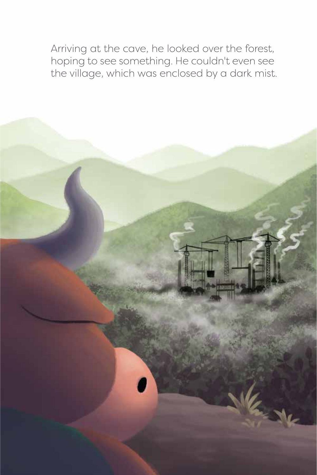Arriving at the cave, he looked over the forest, hoping to see something. He couldn't even see the village, which was enclosed by a dark mist.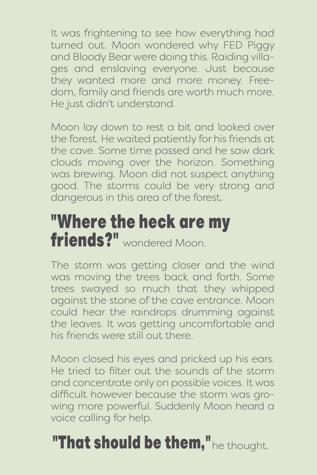It was frightening to see how everything had turned out. Moon wondered why FED Piggy and Bloody Bear were doing this. Raiding villages and enslaving everyone. Just because they wanted more and more money. Freedom, family and friends are worth much more. He just didn't understand.

Moon lay down to rest a bit and looked over the forest. He waited patiently for his friends at the cave. Some time passed and he saw dark clouds moving over the horizon. Something was brewing. Moon did not suspect anything good. The storms could be very strong and dangerous in this area of the forest.

### friends?" wondered Moon. "Where the heck are my

The storm was getting closer and the wind was moving the trees back and forth. Some trees swayed so much that they whipped against the stone of the cave entrance. Moon could hear the raindrops drumming against the leaves. It was getting uncomfortable and his friends were still out there.

Moon closed his eyes and pricked up his ears. He tried to filter out the sounds of the storm and concentrate only on possible voices. It was difficult however because the storm was growing more powerful. Suddenly Moon heard a voice calling for help.

# "That should be them," ${\sf he}$  thought.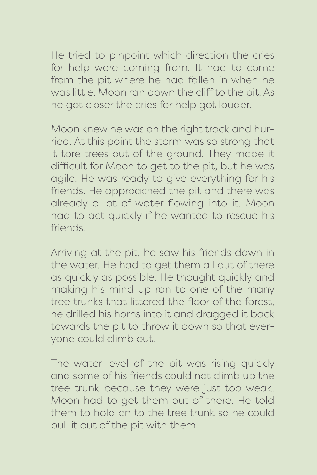He tried to pinpoint which direction the cries for help were coming from. It had to come from the pit where he had fallen in when he was little. Moon ran down the cliff to the pit. As he got closer the cries for help got louder.

Moon knew he was on the right track and hurried. At this point the storm was so strong that it tore trees out of the ground. They made it difficult for Moon to get to the pit, but he was agile. He was ready to give everything for his friends. He approached the pit and there was already a lot of water flowing into it. Moon had to act quickly if he wanted to rescue his friends.

Arriving at the pit, he saw his friends down in the water. He had to get them all out of there as quickly as possible. He thought quickly and making his mind up ran to one of the many tree trunks that littered the floor of the forest, he drilled his horns into it and dragged it back towards the pit to throw it down so that everyone could climb out.

The water level of the pit was rising quickly and some of his friends could not climb up the tree trunk because they were just too weak. Moon had to get them out of there. He told them to hold on to the tree trunk so he could pull it out of the pit with them.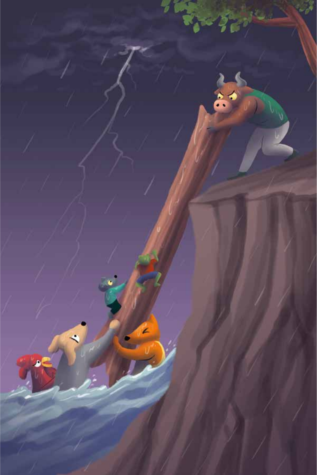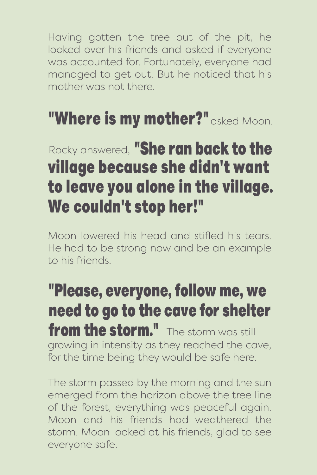Having gotten the tree out of the pit, he looked over his friends and asked if everyone was accounted for. Fortunately, everyone had managed to get out. But he noticed that his mother was not there.

# "Where is my mother?" asked Moon.

### village because she didn't want to leave you alone in the village. We couldn't stop her!" Rocky answered, "She ran back to the

Moon lowered his head and stifled his tears. He had to be strong now and be an example to his friends.

**from the storm."** The storm was still "Please, everyone, follow me, we need to go to the cave for shelter growing in intensity as they reached the cave, for the time being they would be safe here.

The storm passed by the morning and the sun emerged from the horizon above the tree line of the forest, everything was peaceful again. Moon and his friends had weathered the storm. Moon looked at his friends, glad to see everyone safe.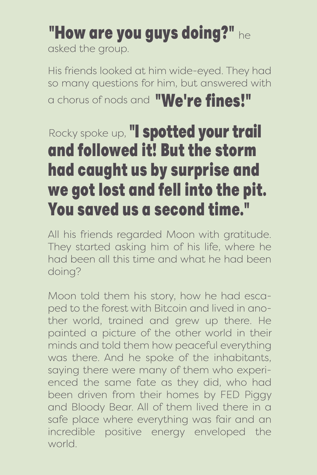# "**How are you guys doing?"** he

asked the group.

His friends looked at him wide-eyed. They had so many questions for him, but answered with a chorus of nods and "We're fines!"

### and followed it! But the storm had caught us by surprise and we got lost and fell into the pit. You saved us a second time." Rocky spoke up, "I spotted your trail

All his friends regarded Moon with gratitude. They started asking him of his life, where he had been all this time and what he had been doing?

Moon told them his story, how he had escaped to the forest with Bitcoin and lived in another world, trained and grew up there. He painted a picture of the other world in their minds and told them how peaceful everything was there. And he spoke of the inhabitants, saying there were many of them who experienced the same fate as they did, who had been driven from their homes by FED Piggy and Bloody Bear. All of them lived there in a safe place where everything was fair and an incredible positive energy enveloped the world.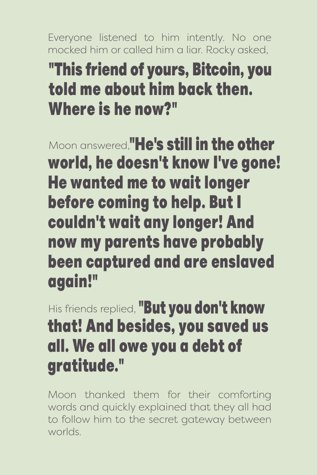Everyone listened to him intently. No one mocked him or called him a liar. Rocky asked,

# "This friend of yours, Bitcoin, you told me about him back then. Where is he now?"

world, he doesn't know I've gone! He wanted me to wait longer before coming to help. But I couldn't wait any longer! And now my parents have probably been captured and are enslaved again!" Moon answered,"He's still in the other

that! And besides, you saved us all. We all owe you a debt of gratitude." His friends replied, "But you don't know

Moon thanked them for their comforting words and quickly explained that they all had to follow him to the secret gateway between worlds.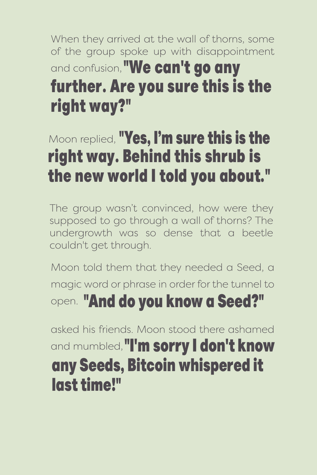#### further. Are you sure this is the right way?" When they arrived at the wall of thorns, some of the group spoke up with disappointment and confusion,"We can't go any

### right way. Behind this shrub is the new world I told you about." Moon replied, "Yes, I'm sure this is the

The group wasn't convinced, how were they supposed to go through a wall of thorns? The undergrowth was so dense that a beetle couldn't get through.

Moon told them that they needed a Seed, a magic word or phrase in order for the tunnel to open. "And do you know a Seed?"

asked his friends. Moon stood there ashamed and mumbled, **"I'm sorry I don't know** any Seeds, Bitcoin whispered it last time!"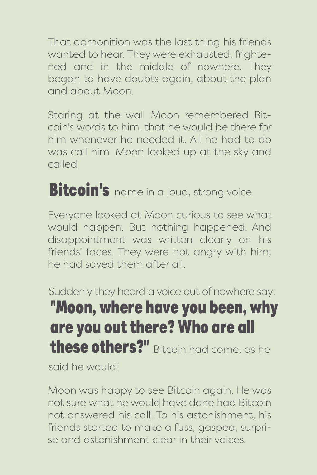That admonition was the last thing his friends wanted to hear. They were exhausted, frightened and in the middle of nowhere. They began to have doubts again, about the plan and about Moon.

Staring at the wall Moon remembered Bitcoin's words to him, that he would be there for him whenever he needed it. All he had to do was call him. Moon looked up at the sky and called

Bitcoin's name in a loud, strong voice.

Everyone looked at Moon curious to see what would happen. But nothing happened. And disappointment was written clearly on his friends' faces. They were not angry with him; he had saved them after all.

Suddenly they heard a voice out of nowhere say:

# "Moon, where have you been, why are you out there? Who are all these others?" Bitcoin had come, as he

said he would!

Moon was happy to see Bitcoin again. He was not sure what he would have done had Bitcoin not answered his call. To his astonishment, his friends started to make a fuss, gasped, surprise and astonishment clear in their voices.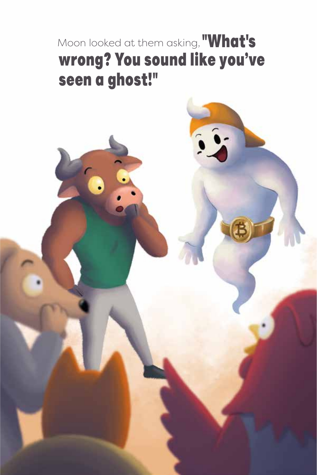#### Moon looked at them asking,  $"\mathbf{What's}$ wrong? You sound like you've seen a ghost!"

 $\tilde{\mathbf{r}}$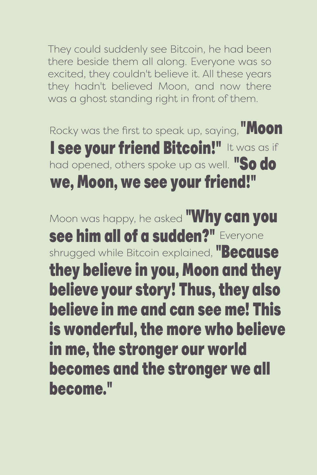They could suddenly see Bitcoin, he had been there beside them all along. Everyone was so excited, they couldn't believe it. All these years they hadn't believed Moon, and now there was a ghost standing right in front of them.

I see your friend Bitcoin!" It was as if Rocky was the first to speak up, saying,  $"{\sf MOON}$ I see your friend Bitcoin!" It was as if<br>had opened, others spoke up as well. "So do we, Moon, we see your friend!"

see him all of a sudden?" Everyone Moon was happy, he asked "**Why can you** shrugged while Bitcoin explained, "**Because** they believe in you, Moon and they believe your story! Thus, they also believe in me and can see me! This is wonderful, the more who believe in me, the stronger our world becomes and the stronger we all become."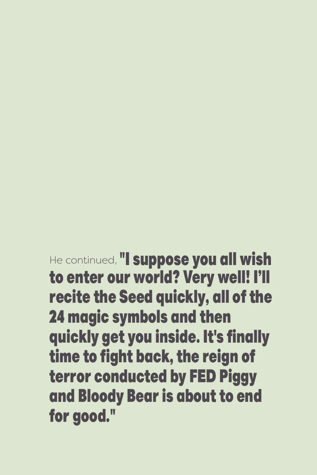He continued, "I suppose you all wish to enter our world? Very well! I'll recite the Seed quickly, all of the 24 magic symbols and then quickly get you inside. It's finally time to fight back, the reign of terror conducted by FED Piggy and Bloody Bear is about to end for good."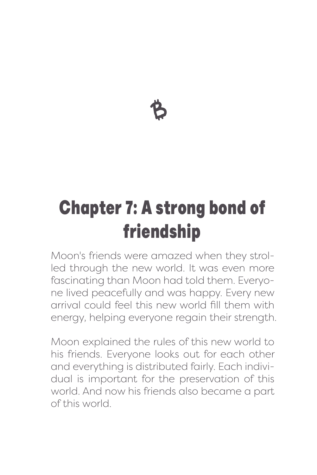

# Chapter 7: A strong bond of friendship

Moon's friends were amazed when they strolled through the new world. It was even more fascinating than Moon had told them. Everyone lived peacefully and was happy. Every new arrival could feel this new world fill them with energy, helping everyone regain their strength.

Moon explained the rules of this new world to his friends. Everyone looks out for each other and everything is distributed fairly. Each individual is important for the preservation of this world. And now his friends also became a part of this world.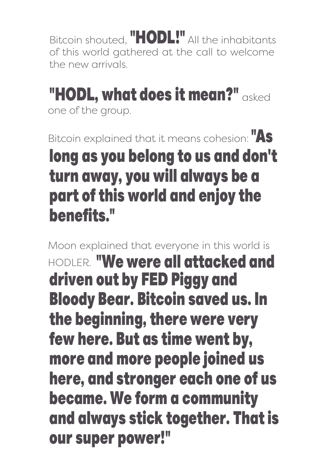Bitcoin shouted, "HODL!" All the inhabitants of this world gathered at the call to welcome the new arrivals.

#### "HODL, what does it mean?"  $_{\mathsf{asked}}$ one of the group.

### Bitcoin explained that it means cohesion: "AS long as you belong to us and don't turn away, you will always be a part of this world and enjoy the benefits."

Moon explained that everyone in this world is HODLER. "We were all attacked and driven out by FED Piggy and Bloody Bear. Bitcoin saved us. In the beginning, there were very few here. But as time went by, more and more people joined us here, and stronger each one of us became. We form a community and always stick together. That is our super power!"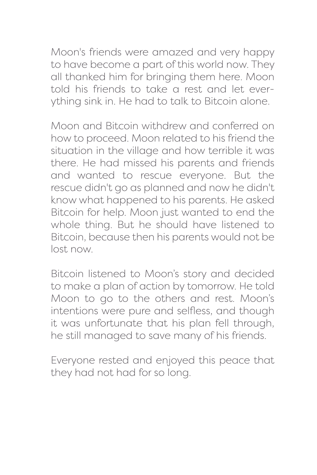Moon's friends were amazed and very happy to have become a part of this world now. They all thanked him for bringing them here. Moon told his friends to take a rest and let everything sink in. He had to talk to Bitcoin alone.

Moon and Bitcoin withdrew and conferred on how to proceed. Moon related to his friend the situation in the village and how terrible it was there. He had missed his parents and friends and wanted to rescue everyone. But the rescue didn't go as planned and now he didn't know what happened to his parents. He asked Bitcoin for help. Moon just wanted to end the whole thing. But he should have listened to Bitcoin, because then his parents would not be lost now.

Bitcoin listened to Moon's story and decided to make a plan of action by tomorrow. He told Moon to go to the others and rest. Moon's intentions were pure and selfless, and though it was unfortunate that his plan fell through, he still managed to save many of his friends.

Everyone rested and enjoyed this peace that they had not had for so long.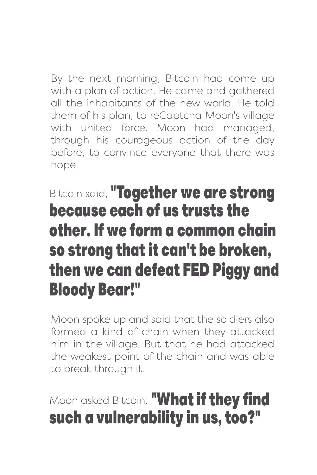By the next morning, Bitcoin had come up with a plan of action. He came and gathered all the inhabitants of the new world. He told them of his plan, to reCaptcha Moon's village with united force. Moon had managed, through his courageous action of the day before, to convince everyone that there was hope.

#### Bitcoin said, "Together we are strong because each of us trusts the other. If we form a common chain so strong that it can't be broken, then we can defeat FED Piggy and Bloody Bear!"

Moon spoke up and said that the soldiers also formed a kind of chain when they attacked him in the village. But that he had attacked the weakest point of the chain and was able to break through it.

#### Moon asked Bitcoin: "What if they find such a vulnerability in us, too?"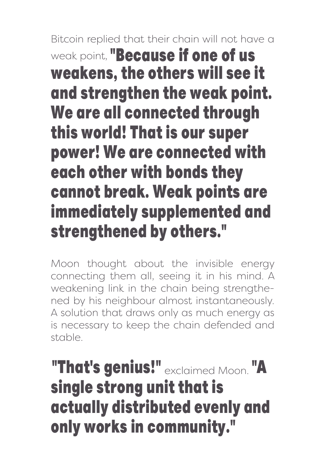#### weakens, the others will see it and strengthen the weak point. We are all connected through this world! That is our super power! We are connected with each other with bonds they cannot break. Weak points are immediately supplemented and strengthened by others." Bitcoin replied that their chain will not have a weak point, "Because if one of us

Moon thought about the invisible energy connecting them all, seeing it in his mind. A weakening link in the chain being strengthened by his neighbour almost instantaneously. A solution that draws only as much energy as is necessary to keep the chain defended and stable.

# "That's genius!" exclaimed Moon. "A single strong unit that is actually distributed evenly and only works in community."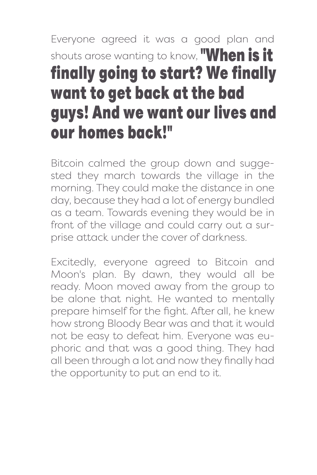#### finally going to start? We finally want to get back at the bad guys! And we want our lives and our homes back!" Everyone agreed it was a good plan and shouts arose wanting to know,  $"\text{When is it}$

Bitcoin calmed the group down and suggested they march towards the village in the morning. They could make the distance in one day, because they had a lot of energy bundled as a team. Towards evening they would be in front of the village and could carry out a surprise attack under the cover of darkness.

Excitedly, everyone agreed to Bitcoin and Moon's plan. By dawn, they would all be ready. Moon moved away from the group to be alone that night. He wanted to mentally prepare himself for the fight. After all, he knew how strong Bloody Bear was and that it would not be easy to defeat him. Everyone was euphoric and that was a good thing. They had all been through a lot and now they finally had the opportunity to put an end to it.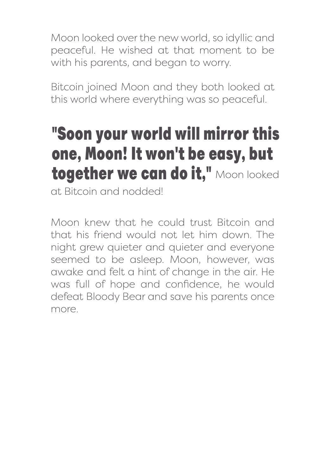Moon looked over the new world, so idyllic and peaceful. He wished at that moment to be with his parents, and began to worry.

Bitcoin joined Moon and they both looked at this world where everything was so peaceful.

# "Soon your world will mirror this one, Moon! It won't be easy, but together we can do it," Moon looked

at Bitcoin and nodded!

Moon knew that he could trust Bitcoin and that his friend would not let him down. The night grew quieter and quieter and everyone seemed to be asleep. Moon, however, was awake and felt a hint of change in the air. He was full of hope and confidence, he would defeat Bloody Bear and save his parents once more.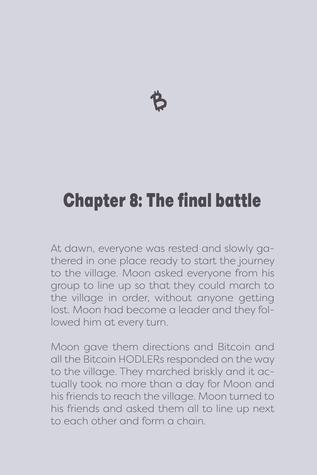

# Chapter 8: The final battle

At dawn, everyone was rested and slowly gathered in one place ready to start the journey to the village. Moon asked everyone from his group to line up so that they could march to the village in order, without anyone getting lost. Moon had become a leader and they followed him at every turn.

Moon gave them directions and Bitcoin and all the Bitcoin HODLERs responded on the way to the village. They marched briskly and it actually took no more than a day for Moon and his friends to reach the village. Moon turned to his friends and asked them all to line up next to each other and form a chain.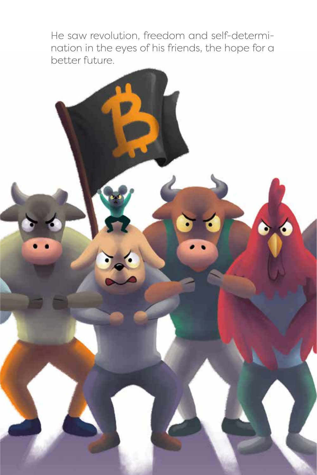He saw revolution, freedom and self-determination in the eyes of his friends, the hope for a better future.

a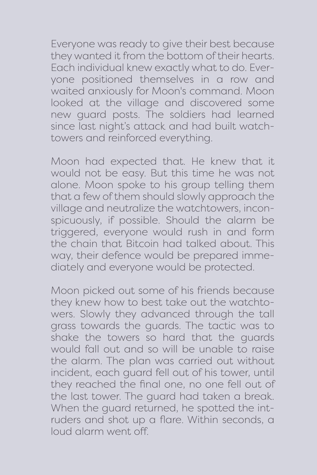Everyone was ready to give their best because they wanted it from the bottom of their hearts. Each individual knew exactly what to do. Everyone positioned themselves in a row and waited anxiously for Moon's command. Moon looked at the village and discovered some new guard posts. The soldiers had learned since last night's attack and had built watchtowers and reinforced everything.

Moon had expected that. He knew that it would not be easy. But this time he was not alone. Moon spoke to his group telling them that a few of them should slowly approach the village and neutralize the watchtowers, inconspicuously, if possible. Should the alarm be triggered, everyone would rush in and form the chain that Bitcoin had talked about. This way, their defence would be prepared immediately and everyone would be protected.

Moon picked out some of his friends because they knew how to best take out the watchtowers. Slowly they advanced through the tall grass towards the guards. The tactic was to shake the towers so hard that the guards would fall out and so will be unable to raise the alarm. The plan was carried out without incident, each guard fell out of his tower, until they reached the final one, no one fell out of the last tower. The guard had taken a break. When the guard returned, he spotted the intruders and shot up a flare. Within seconds, a loud alarm went off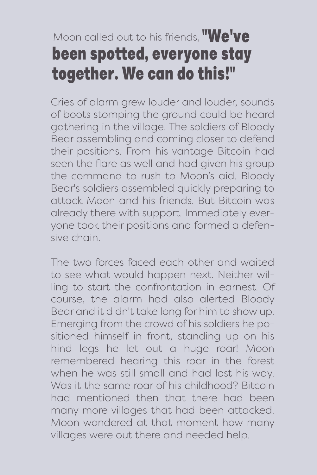#### Moon called out to his friends.  $\mathbf{W} \mathbf{e}^{\mathsf{T}} \mathbf{v} \mathbf{e}$ been spotted, everyone stay together. We can do this!"

Cries of alarm grew louder and louder, sounds of boots stomping the ground could be heard gathering in the village. The soldiers of Bloody Bear assembling and coming closer to defend their positions. From his vantage Bitcoin had seen the flare as well and had given his group the command to rush to Moon's aid. Bloody Bear's soldiers assembled quickly preparing to attack Moon and his friends. But Bitcoin was already there with support. Immediately everyone took their positions and formed a defensive chain.

The two forces faced each other and waited to see what would happen next. Neither willing to start the confrontation in earnest. Of course, the alarm had also alerted Bloody Bear and it didn't take long for him to show up. Emerging from the crowd of his soldiers he positioned himself in front, standing up on his hind legs he let out a huge roar! Moon remembered hearing this roar in the forest when he was still small and had lost his way. Was it the same roar of his childhood? Bitcoin had mentioned then that there had been many more villages that had been attacked. Moon wondered at that moment how many villages were out there and needed help.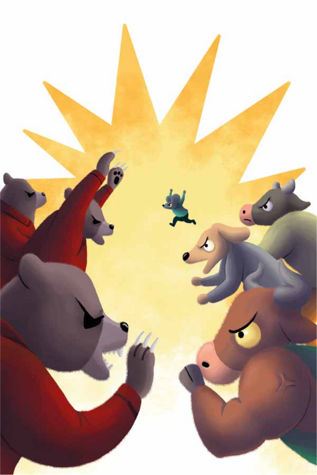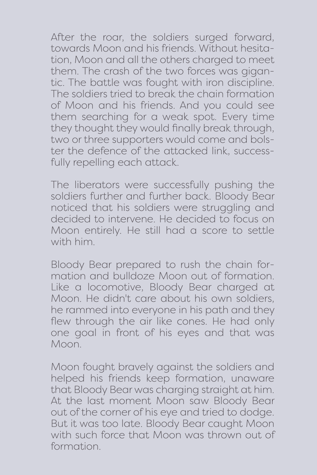After the roar, the soldiers surged forward, towards Moon and his friends. Without hesitation, Moon and all the others charged to meet them. The crash of the two forces was gigantic. The battle was fought with iron discipline. The soldiers tried to break the chain formation of Moon and his friends. And you could see them searching for a weak spot. Every time they thought they would finally break through, two or three supporters would come and bolster the defence of the attacked link, successfully repelling each attack.

The liberators were successfully pushing the soldiers further and further back. Bloody Bear noticed that his soldiers were struggling and decided to intervene. He decided to focus on Moon entirely. He still had a score to settle with him.

Bloody Bear prepared to rush the chain formation and bulldoze Moon out of formation. Like a locomotive, Bloody Bear charged at Moon. He didn't care about his own soldiers, he rammed into everyone in his path and they flew through the air like cones. He had only one goal in front of his eyes and that was Moon.

Moon fought bravely against the soldiers and helped his friends keep formation, unaware that Bloody Bear was charging straight at him. At the last moment Moon saw Bloody Bear out of the corner of his eye and tried to dodge. But it was too late. Bloody Bear caught Moon with such force that Moon was thrown out of formation.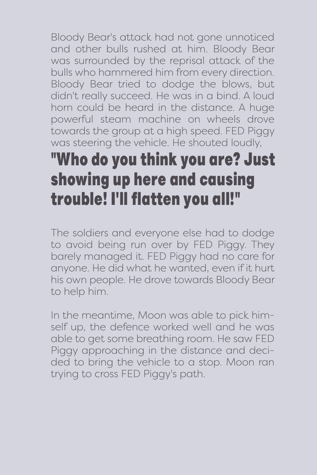Bloody Bear's attack had not gone unnoticed and other bulls rushed at him. Bloody Bear was surrounded by the reprisal attack of the bulls who hammered him from every direction. Bloody Bear tried to dodge the blows, but didn't really succeed. He was in a bind. A loud horn could be heard in the distance. A huge powerful steam machine on wheels drove towards the group at a high speed. FED Piggy was steering the vehicle. He shouted loudly,

# "Who do you think you are? Just showing up here and causing trouble! I'll flatten you all!"

The soldiers and everyone else had to dodge to avoid being run over by FED Piggy. They barely managed it. FED Piggy had no care for anyone. He did what he wanted, even if it hurt his own people. He drove towards Bloody Bear to help him.

In the meantime, Moon was able to pick himself up, the defence worked well and he was able to get some breathing room. He saw FED Piggy approaching in the distance and decided to bring the vehicle to a stop. Moon ran trying to cross FED Piggy's path.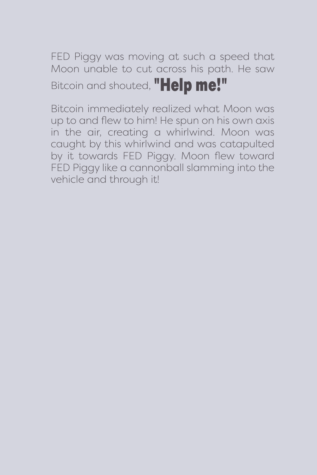Bitcoin and shouted, **"Help me!"** FED Piggy was moving at such a speed that Moon unable to cut across his path. He saw

Bitcoin immediately realized what Moon was up to and flew to him! He spun on his own axis in the air, creating a whirlwind. Moon was caught by this whirlwind and was catapulted by it towards FED Piggy. Moon flew toward FED Piggy like a cannonball slamming into the vehicle and through it!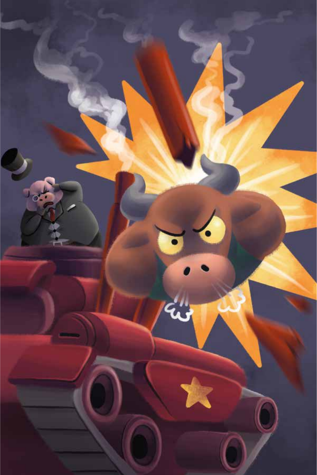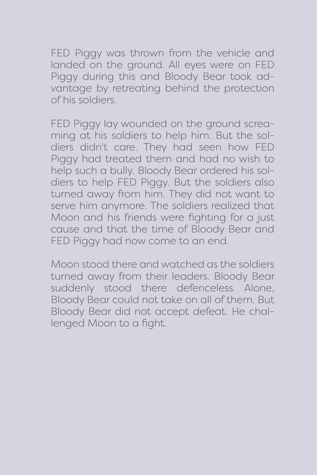FED Piggy was thrown from the vehicle and landed on the ground. All eyes were on FED Piggy during this and Bloody Bear took advantage by retreating behind the protection of his soldiers.

FED Piggy lay wounded on the ground screaming at his soldiers to help him. But the soldiers didn't care. They had seen how FED Piggy had treated them and had no wish to help such a bully. Bloody Bear ordered his soldiers to help FED Piggy. But the soldiers also turned away from him. They did not want to serve him anymore. The soldiers realized that Moon and his friends were fighting for a just cause and that the time of Bloody Bear and FED Piggy had now come to an end.

Moon stood there and watched as the soldiers turned away from their leaders. Bloody Bear suddenly stood there defenceless. Alone, Bloody Bear could not take on all of them. But Bloody Bear did not accept defeat. He challenged Moon to a fight.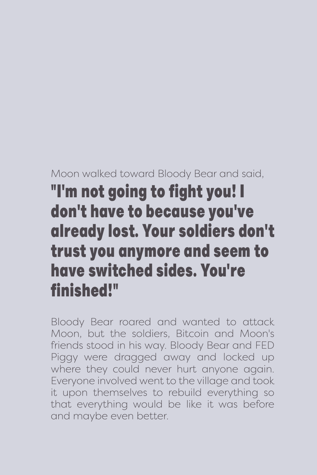## "I'm not going to fight you! I don't have to because you've already lost. Your soldiers don't trust you anymore and seem to have switched sides. You're finished!" Moon walked toward Bloody Bear and said,

Bloody Bear roared and wanted to attack Moon, but the soldiers, Bitcoin and Moon's friends stood in his way. Bloody Bear and FED Piggy were dragged away and locked up where they could never hurt anyone again. Everyone involved went to the village and took it upon themselves to rebuild everything so that everything would be like it was before and maybe even better.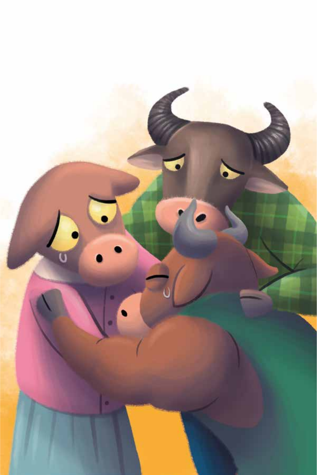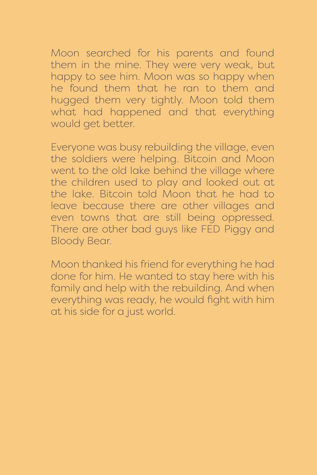Moon searched for his parents and found them in the mine. They were very weak, but happy to see him. Moon was so happy when he found them that he ran to them and hugged them very tightly. Moon told them what had happened and that everything would get better.

Everyone was busy rebuilding the village, even the soldiers were helping. Bitcoin and Moon went to the old lake behind the village where the children used to play and looked out at the lake. Bitcoin told Moon that he had to leave because there are other villages and even towns that are still being oppressed. There are other bad guys like FED Piggy and Bloody Bear.

Moon thanked his friend for everything he had done for him. He wanted to stay here with his family and help with the rebuilding. And when everything was ready, he would fight with him at his side for a just world.